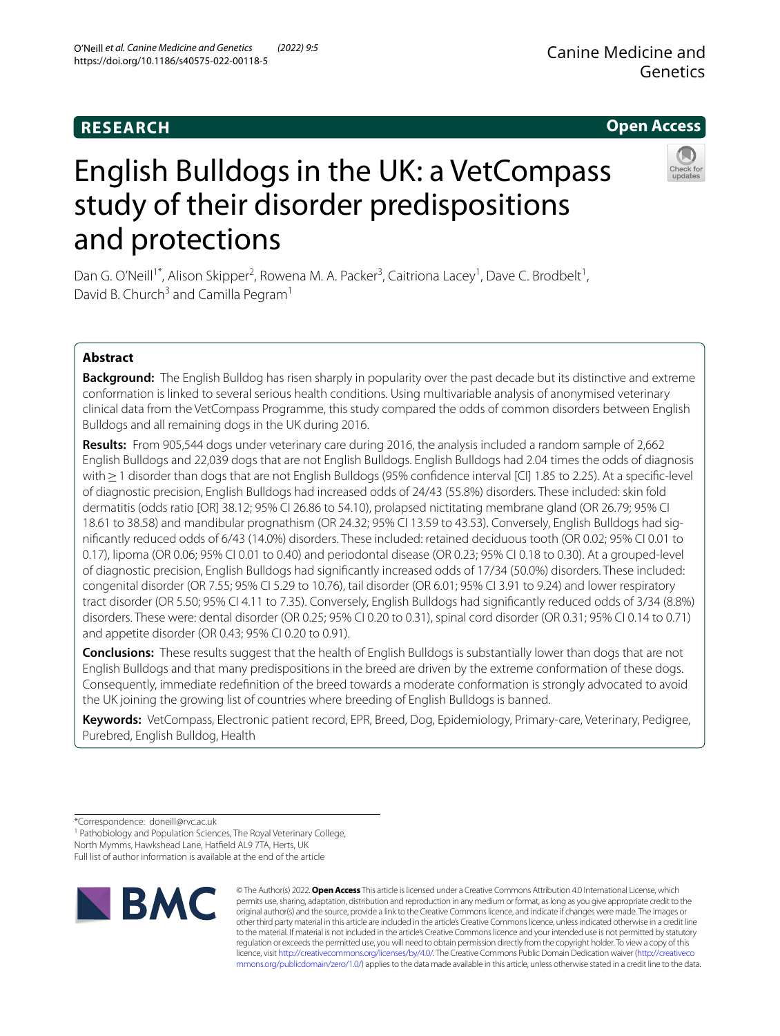O'Neill *et al. Canine Medicine and Genetics (2022) 9:5* 

https://doi.org/10.1186/s40575-022-00118-5

**Open Access**

# English Bulldogs in the UK: a VetCompass study of their disorder predispositions and protections

Dan G. O'Neill<sup>1\*</sup>, Alison Skipper<sup>2</sup>, Rowena M. A. Packer<sup>3</sup>, Caitriona Lacey<sup>1</sup>, Dave C. Brodbelt<sup>1</sup>, David B. Church<sup>3</sup> and Camilla Pegram<sup>1</sup>

# **Abstract**

**Background:** The English Bulldog has risen sharply in popularity over the past decade but its distinctive and extreme conformation is linked to several serious health conditions. Using multivariable analysis of anonymised veterinary clinical data from the VetCompass Programme, this study compared the odds of common disorders between English Bulldogs and all remaining dogs in the UK during 2016.

**Results:** From 905,544 dogs under veterinary care during 2016, the analysis included a random sample of 2,662 English Bulldogs and 22,039 dogs that are not English Bulldogs. English Bulldogs had 2.04 times the odds of diagnosis with≥1 disorder than dogs that are not English Bulldogs (95% confdence interval [CI] 1.85 to 2.25). At a specifc-level of diagnostic precision, English Bulldogs had increased odds of 24/43 (55.8%) disorders. These included: skin fold dermatitis (odds ratio [OR] 38.12; 95% CI 26.86 to 54.10), prolapsed nictitating membrane gland (OR 26.79; 95% CI 18.61 to 38.58) and mandibular prognathism (OR 24.32; 95% CI 13.59 to 43.53). Conversely, English Bulldogs had signifcantly reduced odds of 6/43 (14.0%) disorders. These included: retained deciduous tooth (OR 0.02; 95% CI 0.01 to 0.17), lipoma (OR 0.06; 95% CI 0.01 to 0.40) and periodontal disease (OR 0.23; 95% CI 0.18 to 0.30). At a grouped-level of diagnostic precision, English Bulldogs had signifcantly increased odds of 17/34 (50.0%) disorders. These included: congenital disorder (OR 7.55; 95% CI 5.29 to 10.76), tail disorder (OR 6.01; 95% CI 3.91 to 9.24) and lower respiratory tract disorder (OR 5.50; 95% CI 4.11 to 7.35). Conversely, English Bulldogs had signifcantly reduced odds of 3/34 (8.8%) disorders. These were: dental disorder (OR 0.25; 95% CI 0.20 to 0.31), spinal cord disorder (OR 0.31; 95% CI 0.14 to 0.71) and appetite disorder (OR 0.43; 95% CI 0.20 to 0.91).

**Conclusions:** These results suggest that the health of English Bulldogs is substantially lower than dogs that are not English Bulldogs and that many predispositions in the breed are driven by the extreme conformation of these dogs. Consequently, immediate redefnition of the breed towards a moderate conformation is strongly advocated to avoid the UK joining the growing list of countries where breeding of English Bulldogs is banned.

**Keywords:** VetCompass, Electronic patient record, EPR, Breed, Dog, Epidemiology, Primary-care, Veterinary, Pedigree, Purebred, English Bulldog, Health

\*Correspondence: doneill@rvc.ac.uk

<sup>1</sup> Pathobiology and Population Sciences, The Royal Veterinary College,

North Mymms, Hawkshead Lane, Hatfeld AL9 7TA, Herts, UK

Full list of author information is available at the end of the article



© The Author(s) 2022. **Open Access** This article is licensed under a Creative Commons Attribution 4.0 International License, which permits use, sharing, adaptation, distribution and reproduction in any medium or format, as long as you give appropriate credit to the original author(s) and the source, provide a link to the Creative Commons licence, and indicate if changes were made. The images or other third party material in this article are included in the article's Creative Commons licence, unless indicated otherwise in a credit line to the material. If material is not included in the article's Creative Commons licence and your intended use is not permitted by statutory regulation or exceeds the permitted use, you will need to obtain permission directly from the copyright holder. To view a copy of this licence, visit [http://creativecommons.org/licenses/by/4.0/.](http://creativecommons.org/licenses/by/4.0/) The Creative Commons Public Domain Dedication waiver ([http://creativeco](http://creativecommons.org/publicdomain/zero/1.0/) [mmons.org/publicdomain/zero/1.0/](http://creativecommons.org/publicdomain/zero/1.0/)) applies to the data made available in this article, unless otherwise stated in a credit line to the data.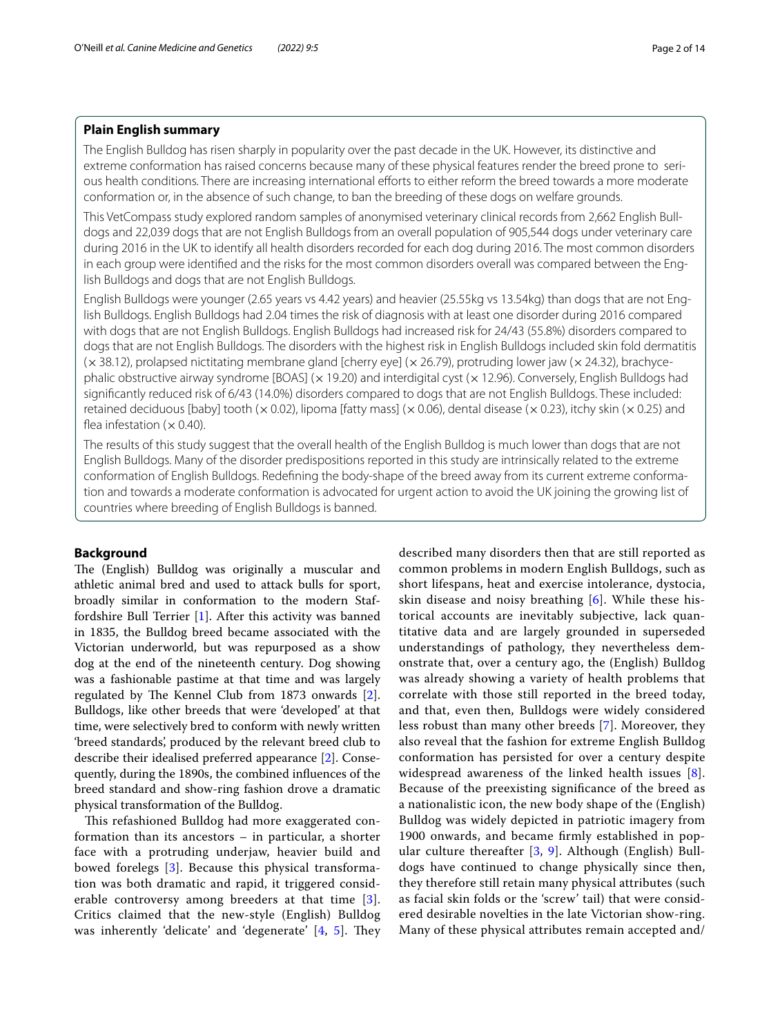# **Plain English summary**

The English Bulldog has risen sharply in popularity over the past decade in the UK. However, its distinctive and extreme conformation has raised concerns because many of these physical features render the breed prone to serious health conditions. There are increasing international efforts to either reform the breed towards a more moderate conformation or, in the absence of such change, to ban the breeding of these dogs on welfare grounds.

This VetCompass study explored random samples of anonymised veterinary clinical records from 2,662 English Bulldogs and 22,039 dogs that are not English Bulldogs from an overall population of 905,544 dogs under veterinary care during 2016 in the UK to identify all health disorders recorded for each dog during 2016. The most common disorders in each group were identifed and the risks for the most common disorders overall was compared between the English Bulldogs and dogs that are not English Bulldogs.

English Bulldogs were younger (2.65 years vs 4.42 years) and heavier (25.55kg vs 13.54kg) than dogs that are not English Bulldogs. English Bulldogs had 2.04 times the risk of diagnosis with at least one disorder during 2016 compared with dogs that are not English Bulldogs. English Bulldogs had increased risk for 24/43 (55.8%) disorders compared to dogs that are not English Bulldogs. The disorders with the highest risk in English Bulldogs included skin fold dermatitis  $(x38.12)$ , prolapsed nictitating membrane gland [cherry eye]  $(x26.79)$ , protruding lower jaw  $(x24.32)$ , brachycephalic obstructive airway syndrome [BOAS] (x 19.20) and interdigital cyst (x 12.96). Conversely, English Bulldogs had signifcantly reduced risk of 6/43 (14.0%) disorders compared to dogs that are not English Bulldogs. These included: retained deciduous [baby] tooth ( $\times$  0.02), lipoma [fatty mass] ( $\times$  0.06), dental disease ( $\times$  0.23), itchy skin ( $\times$  0.25) and flea infestation ( $\times$  0.40).

The results of this study suggest that the overall health of the English Bulldog is much lower than dogs that are not English Bulldogs. Many of the disorder predispositions reported in this study are intrinsically related to the extreme conformation of English Bulldogs. Redefning the body-shape of the breed away from its current extreme conformation and towards a moderate conformation is advocated for urgent action to avoid the UK joining the growing list of countries where breeding of English Bulldogs is banned.

## **Background**

The (English) Bulldog was originally a muscular and athletic animal bred and used to attack bulls for sport, broadly similar in conformation to the modern Staffordshire Bull Terrier [[1](#page-12-0)]. After this activity was banned in 1835, the Bulldog breed became associated with the Victorian underworld, but was repurposed as a show dog at the end of the nineteenth century. Dog showing was a fashionable pastime at that time and was largely regulated by The Kennel Club from  $1873$  onwards  $[2]$  $[2]$ . Bulldogs, like other breeds that were 'developed' at that time, were selectively bred to conform with newly written 'breed standards', produced by the relevant breed club to describe their idealised preferred appearance [\[2](#page-12-1)]. Consequently, during the 1890s, the combined infuences of the breed standard and show-ring fashion drove a dramatic physical transformation of the Bulldog.

This refashioned Bulldog had more exaggerated conformation than its ancestors – in particular, a shorter face with a protruding underjaw, heavier build and bowed forelegs [[3](#page-12-2)]. Because this physical transformation was both dramatic and rapid, it triggered considerable controversy among breeders at that time [[3\]](#page-12-2). Critics claimed that the new-style (English) Bulldog was inherently 'delicate' and 'degenerate'  $[4, 5]$  $[4, 5]$  $[4, 5]$  $[4, 5]$ . They described many disorders then that are still reported as common problems in modern English Bulldogs, such as short lifespans, heat and exercise intolerance, dystocia, skin disease and noisy breathing  $[6]$  $[6]$ . While these historical accounts are inevitably subjective, lack quantitative data and are largely grounded in superseded understandings of pathology, they nevertheless demonstrate that, over a century ago, the (English) Bulldog was already showing a variety of health problems that correlate with those still reported in the breed today, and that, even then, Bulldogs were widely considered less robust than many other breeds [[7\]](#page-12-6). Moreover, they also reveal that the fashion for extreme English Bulldog conformation has persisted for over a century despite widespread awareness of the linked health issues [[8](#page-12-7)]. Because of the preexisting signifcance of the breed as a nationalistic icon, the new body shape of the (English) Bulldog was widely depicted in patriotic imagery from 1900 onwards, and became frmly established in popular culture thereafter [\[3,](#page-12-2) [9\]](#page-12-8). Although (English) Bulldogs have continued to change physically since then, they therefore still retain many physical attributes (such as facial skin folds or the 'screw' tail) that were considered desirable novelties in the late Victorian show-ring. Many of these physical attributes remain accepted and/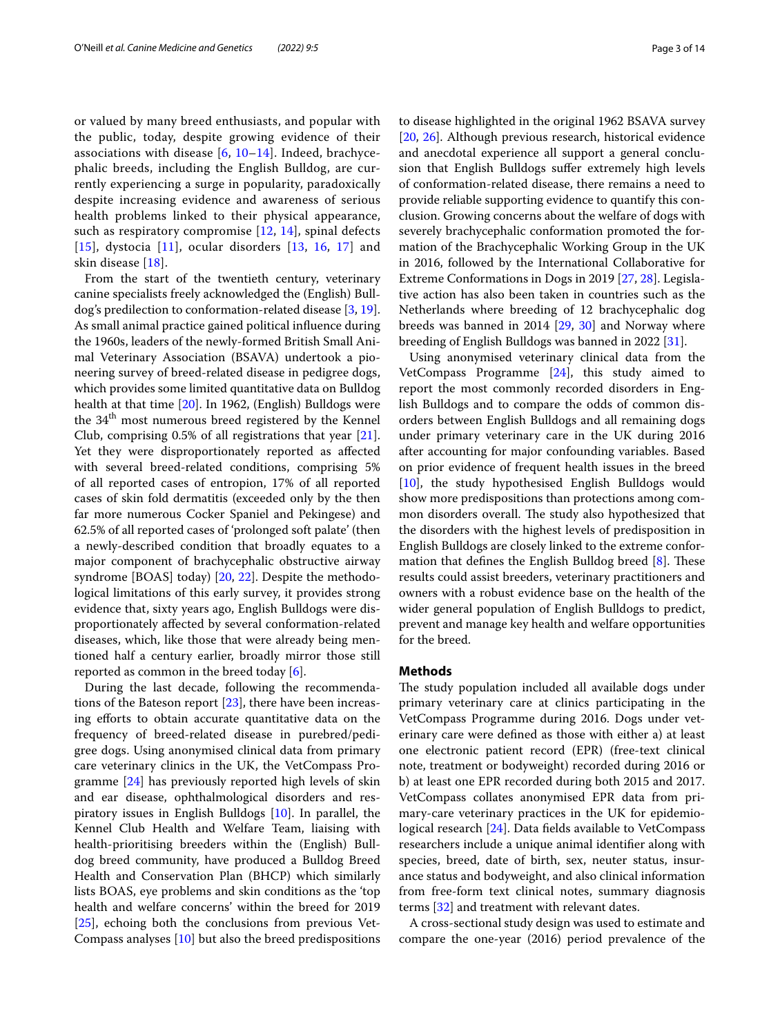or valued by many breed enthusiasts, and popular with the public, today, despite growing evidence of their associations with disease  $[6, 10-14]$  $[6, 10-14]$  $[6, 10-14]$ . Indeed, brachycephalic breeds, including the English Bulldog, are currently experiencing a surge in popularity, paradoxically despite increasing evidence and awareness of serious health problems linked to their physical appearance, such as respiratory compromise [[12,](#page-12-11) [14](#page-12-10)], spinal defects [[15](#page-12-12)], dystocia [\[11\]](#page-12-13), ocular disorders [[13,](#page-12-14) [16,](#page-12-15) [17](#page-12-16)] and skin disease [\[18\]](#page-12-17).

From the start of the twentieth century, veterinary canine specialists freely acknowledged the (English) Bulldog's predilection to conformation-related disease [[3,](#page-12-2) [19](#page-12-18)]. As small animal practice gained political infuence during the 1960s, leaders of the newly-formed British Small Animal Veterinary Association (BSAVA) undertook a pioneering survey of breed-related disease in pedigree dogs, which provides some limited quantitative data on Bulldog health at that time [\[20\]](#page-12-19). In 1962, (English) Bulldogs were the 34<sup>th</sup> most numerous breed registered by the Kennel Club, comprising 0.5% of all registrations that year [\[21](#page-12-20)]. Yet they were disproportionately reported as afected with several breed-related conditions, comprising 5% of all reported cases of entropion, 17% of all reported cases of skin fold dermatitis (exceeded only by the then far more numerous Cocker Spaniel and Pekingese) and 62.5% of all reported cases of 'prolonged soft palate' (then a newly-described condition that broadly equates to a major component of brachycephalic obstructive airway syndrome [BOAS] today) [\[20,](#page-12-19) [22\]](#page-12-21). Despite the methodological limitations of this early survey, it provides strong evidence that, sixty years ago, English Bulldogs were disproportionately afected by several conformation-related diseases, which, like those that were already being mentioned half a century earlier, broadly mirror those still reported as common in the breed today [[6\]](#page-12-5).

During the last decade, following the recommendations of the Bateson report [\[23](#page-12-22)], there have been increasing eforts to obtain accurate quantitative data on the frequency of breed-related disease in purebred/pedigree dogs. Using anonymised clinical data from primary care veterinary clinics in the UK, the VetCompass Programme [\[24\]](#page-12-23) has previously reported high levels of skin and ear disease, ophthalmological disorders and respiratory issues in English Bulldogs [[10](#page-12-9)]. In parallel, the Kennel Club Health and Welfare Team, liaising with health-prioritising breeders within the (English) Bulldog breed community, have produced a Bulldog Breed Health and Conservation Plan (BHCP) which similarly lists BOAS, eye problems and skin conditions as the 'top health and welfare concerns' within the breed for 2019 [[25\]](#page-12-24), echoing both the conclusions from previous Vet-Compass analyses [\[10\]](#page-12-9) but also the breed predispositions to disease highlighted in the original 1962 BSAVA survey [[20,](#page-12-19) [26\]](#page-12-25). Although previous research, historical evidence and anecdotal experience all support a general conclusion that English Bulldogs suffer extremely high levels of conformation-related disease, there remains a need to provide reliable supporting evidence to quantify this conclusion. Growing concerns about the welfare of dogs with severely brachycephalic conformation promoted the formation of the Brachycephalic Working Group in the UK in 2016, followed by the International Collaborative for Extreme Conformations in Dogs in 2019 [[27,](#page-12-26) [28\]](#page-12-27). Legislative action has also been taken in countries such as the Netherlands where breeding of 12 brachycephalic dog breeds was banned in 2014 [[29](#page-12-28), [30\]](#page-12-29) and Norway where breeding of English Bulldogs was banned in 2022 [[31\]](#page-12-30).

Using anonymised veterinary clinical data from the VetCompass Programme [[24\]](#page-12-23), this study aimed to report the most commonly recorded disorders in English Bulldogs and to compare the odds of common disorders between English Bulldogs and all remaining dogs under primary veterinary care in the UK during 2016 after accounting for major confounding variables. Based on prior evidence of frequent health issues in the breed [[10\]](#page-12-9), the study hypothesised English Bulldogs would show more predispositions than protections among common disorders overall. The study also hypothesized that the disorders with the highest levels of predisposition in English Bulldogs are closely linked to the extreme conformation that defines the English Bulldog breed  $[8]$  $[8]$ . These results could assist breeders, veterinary practitioners and owners with a robust evidence base on the health of the wider general population of English Bulldogs to predict, prevent and manage key health and welfare opportunities for the breed.

# **Methods**

The study population included all available dogs under primary veterinary care at clinics participating in the VetCompass Programme during 2016. Dogs under veterinary care were defned as those with either a) at least one electronic patient record (EPR) (free-text clinical note, treatment or bodyweight) recorded during 2016 or b) at least one EPR recorded during both 2015 and 2017. VetCompass collates anonymised EPR data from primary-care veterinary practices in the UK for epidemiological research [\[24](#page-12-23)]. Data felds available to VetCompass researchers include a unique animal identifer along with species, breed, date of birth, sex, neuter status, insurance status and bodyweight, and also clinical information from free-form text clinical notes, summary diagnosis terms [[32\]](#page-12-31) and treatment with relevant dates.

A cross-sectional study design was used to estimate and compare the one-year (2016) period prevalence of the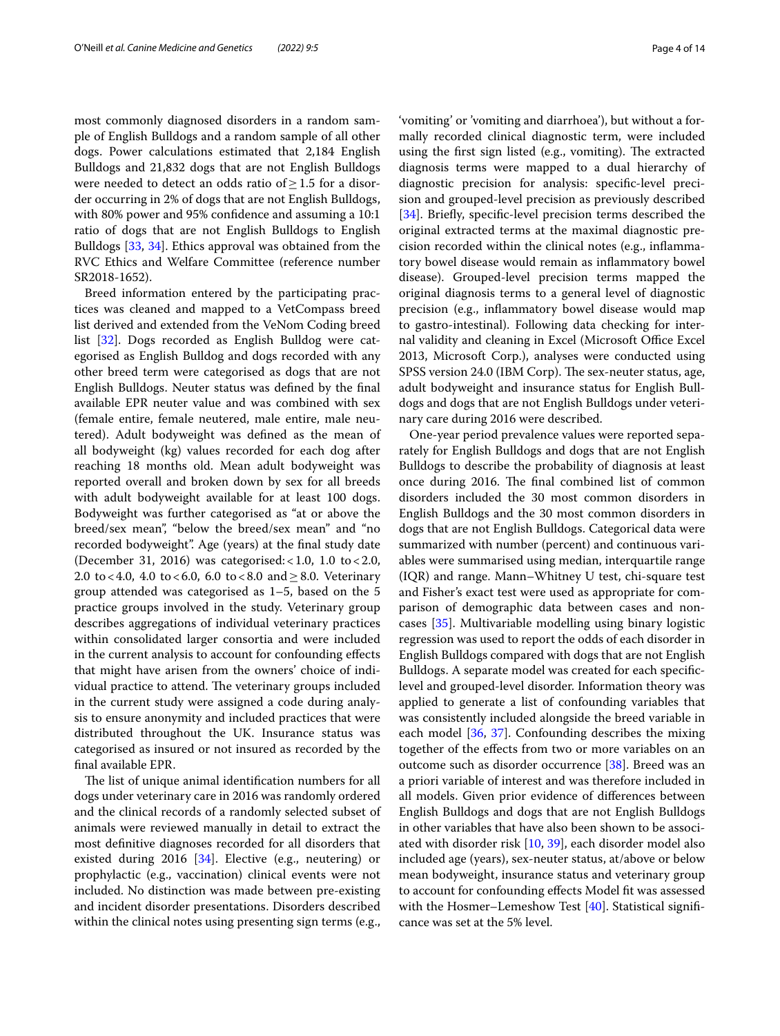most commonly diagnosed disorders in a random sample of English Bulldogs and a random sample of all other dogs. Power calculations estimated that 2,184 English Bulldogs and 21,832 dogs that are not English Bulldogs were needed to detect an odds ratio of≥1.5 for a disorder occurring in 2% of dogs that are not English Bulldogs, with 80% power and 95% confdence and assuming a 10:1 ratio of dogs that are not English Bulldogs to English Bulldogs [\[33](#page-12-32), [34\]](#page-12-33). Ethics approval was obtained from the RVC Ethics and Welfare Committee (reference number SR2018-1652).

Breed information entered by the participating practices was cleaned and mapped to a VetCompass breed list derived and extended from the VeNom Coding breed list [\[32](#page-12-31)]. Dogs recorded as English Bulldog were categorised as English Bulldog and dogs recorded with any other breed term were categorised as dogs that are not English Bulldogs. Neuter status was defned by the fnal available EPR neuter value and was combined with sex (female entire, female neutered, male entire, male neutered). Adult bodyweight was defned as the mean of all bodyweight (kg) values recorded for each dog after reaching 18 months old. Mean adult bodyweight was reported overall and broken down by sex for all breeds with adult bodyweight available for at least 100 dogs. Bodyweight was further categorised as "at or above the breed/sex mean", "below the breed/sex mean" and "no recorded bodyweight". Age (years) at the fnal study date (December 31, 2016) was categorised: <1.0, 1.0 to <2.0, 2.0 to < 4.0, 4.0 to < 6.0, 6.0 to < 8.0 and  $\geq$  8.0. Veterinary group attended was categorised as 1–5, based on the 5 practice groups involved in the study. Veterinary group describes aggregations of individual veterinary practices within consolidated larger consortia and were included in the current analysis to account for confounding efects that might have arisen from the owners' choice of individual practice to attend. The veterinary groups included in the current study were assigned a code during analysis to ensure anonymity and included practices that were distributed throughout the UK. Insurance status was categorised as insured or not insured as recorded by the fnal available EPR.

The list of unique animal identification numbers for all dogs under veterinary care in 2016 was randomly ordered and the clinical records of a randomly selected subset of animals were reviewed manually in detail to extract the most defnitive diagnoses recorded for all disorders that existed during 2016 [\[34](#page-12-33)]. Elective (e.g., neutering) or prophylactic (e.g., vaccination) clinical events were not included. No distinction was made between pre-existing and incident disorder presentations. Disorders described within the clinical notes using presenting sign terms (e.g.,

'vomiting' or 'vomiting and diarrhoea'), but without a formally recorded clinical diagnostic term, were included using the first sign listed (e.g., vomiting). The extracted diagnosis terms were mapped to a dual hierarchy of diagnostic precision for analysis: specifc-level precision and grouped-level precision as previously described [[34\]](#page-12-33). Briefy, specifc-level precision terms described the original extracted terms at the maximal diagnostic precision recorded within the clinical notes (e.g., infammatory bowel disease would remain as infammatory bowel disease). Grouped-level precision terms mapped the original diagnosis terms to a general level of diagnostic precision (e.g., infammatory bowel disease would map to gastro-intestinal). Following data checking for internal validity and cleaning in Excel (Microsoft Office Excel 2013, Microsoft Corp.), analyses were conducted using SPSS version 24.0 (IBM Corp). The sex-neuter status, age, adult bodyweight and insurance status for English Bulldogs and dogs that are not English Bulldogs under veterinary care during 2016 were described.

One-year period prevalence values were reported separately for English Bulldogs and dogs that are not English Bulldogs to describe the probability of diagnosis at least once during 2016. The final combined list of common disorders included the 30 most common disorders in English Bulldogs and the 30 most common disorders in dogs that are not English Bulldogs. Categorical data were summarized with number (percent) and continuous variables were summarised using median, interquartile range (IQR) and range. Mann–Whitney U test, chi-square test and Fisher's exact test were used as appropriate for comparison of demographic data between cases and noncases [[35](#page-12-34)]. Multivariable modelling using binary logistic regression was used to report the odds of each disorder in English Bulldogs compared with dogs that are not English Bulldogs. A separate model was created for each specifclevel and grouped-level disorder. Information theory was applied to generate a list of confounding variables that was consistently included alongside the breed variable in each model [[36](#page-12-35), [37\]](#page-12-36). Confounding describes the mixing together of the efects from two or more variables on an outcome such as disorder occurrence [\[38](#page-12-37)]. Breed was an a priori variable of interest and was therefore included in all models. Given prior evidence of diferences between English Bulldogs and dogs that are not English Bulldogs in other variables that have also been shown to be associated with disorder risk [\[10](#page-12-9), [39\]](#page-12-38), each disorder model also included age (years), sex-neuter status, at/above or below mean bodyweight, insurance status and veterinary group to account for confounding efects Model ft was assessed with the Hosmer–Lemeshow Test [[40\]](#page-12-39). Statistical significance was set at the 5% level.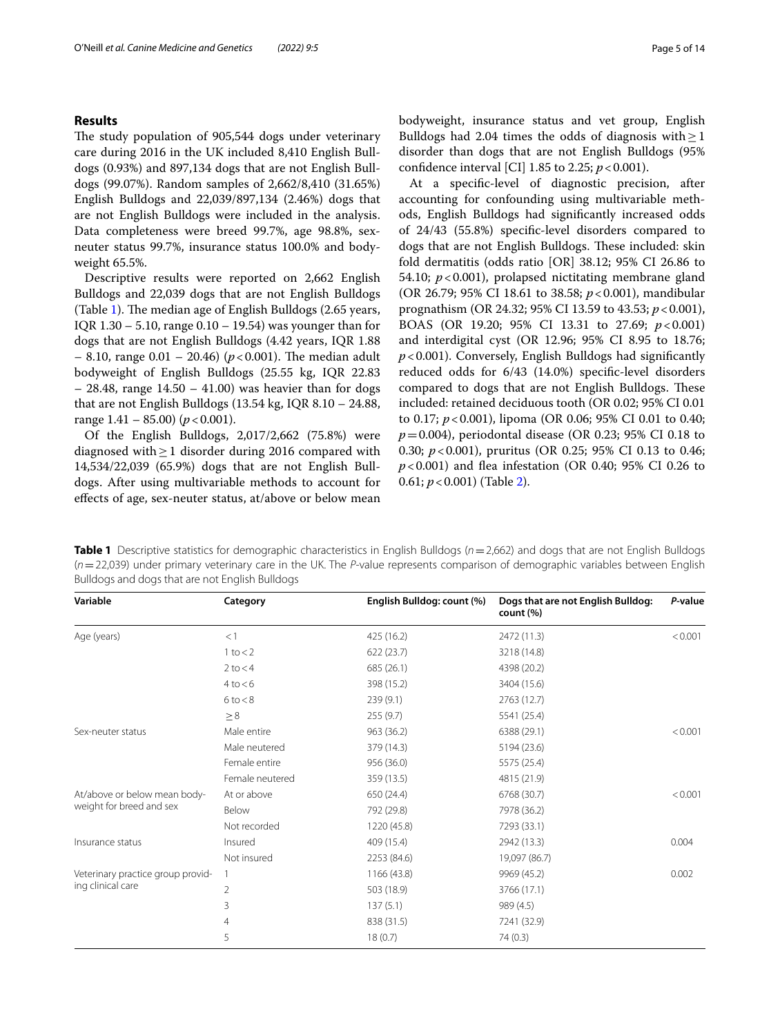# **Results**

The study population of 905,544 dogs under veterinary care during 2016 in the UK included 8,410 English Bulldogs (0.93%) and 897,134 dogs that are not English Bulldogs (99.07%). Random samples of 2,662/8,410 (31.65%) English Bulldogs and 22,039/897,134 (2.46%) dogs that are not English Bulldogs were included in the analysis. Data completeness were breed 99.7%, age 98.8%, sexneuter status 99.7%, insurance status 100.0% and bodyweight 65.5%.

Descriptive results were reported on 2,662 English Bulldogs and 22,039 dogs that are not English Bulldogs (Table [1\)](#page-4-0). The median age of English Bulldogs  $(2.65 \text{ years},$ IQR 1.30 – 5.10, range 0.10 – 19.54) was younger than for dogs that are not English Bulldogs (4.42 years, IQR 1.88  $-$  8.10, range 0.01  $-$  20.46) ( $p$  < 0.001). The median adult bodyweight of English Bulldogs (25.55 kg, IQR 22.83  $-$  28.48, range 14.50  $-$  41.00) was heavier than for dogs that are not English Bulldogs (13.54 kg, IQR 8.10 – 24.88, range  $1.41 - 85.00$  ( $p < 0.001$ ).

Of the English Bulldogs, 2,017/2,662 (75.8%) were diagnosed with≥1 disorder during 2016 compared with 14,534/22,039 (65.9%) dogs that are not English Bulldogs. After using multivariable methods to account for efects of age, sex-neuter status, at/above or below mean bodyweight, insurance status and vet group, English Bulldogs had 2.04 times the odds of diagnosis with  $\geq$  1 disorder than dogs that are not English Bulldogs (95% confidence interval [CI] 1.85 to 2.25;  $p < 0.001$ ).

At a specifc-level of diagnostic precision, after accounting for confounding using multivariable methods, English Bulldogs had signifcantly increased odds of 24/43 (55.8%) specifc-level disorders compared to dogs that are not English Bulldogs. These included: skin fold dermatitis (odds ratio [OR] 38.12; 95% CI 26.86 to 54.10;  $p < 0.001$ ), prolapsed nictitating membrane gland (OR 26.79; 95% CI 18.61 to 38.58; *p*<0.001), mandibular prognathism (OR 24.32; 95% CI 13.59 to 43.53; *p*<0.001), BOAS (OR 19.20; 95% CI 13.31 to 27.69; *p*<0.001) and interdigital cyst (OR 12.96; 95% CI 8.95 to 18.76; *p*<0.001). Conversely, English Bulldogs had signifcantly reduced odds for 6/43 (14.0%) specifc-level disorders compared to dogs that are not English Bulldogs. These included: retained deciduous tooth (OR 0.02; 95% CI 0.01 to 0.17; *p*<0.001), lipoma (OR 0.06; 95% CI 0.01 to 0.40; *p*=0.004), periodontal disease (OR 0.23; 95% CI 0.18 to 0.30; *p*<0.001), pruritus (OR 0.25; 95% CI 0.13 to 0.46; *p*<0.001) and fea infestation (OR 0.40; 95% CI 0.26 to 0.61; *p*<0.001) (Table [2](#page-5-0)).

<span id="page-4-0"></span>**Table 1** Descriptive statistics for demographic characteristics in English Bulldogs (*n*=2,662) and dogs that are not English Bulldogs (*n*=22,039) under primary veterinary care in the UK. The *P*-value represents comparison of demographic variables between English Bulldogs and dogs that are not English Bulldogs

| <1<br>425 (16.2)<br>2472 (11.3)<br>Age (years)<br>3218 (14.8)<br>$1$ to $<$ 2<br>622(23.7)<br>$2$ to $<$ 4<br>685 (26.1)<br>4398 (20.2)<br>4 to < 6<br>398 (15.2)<br>3404 (15.6)<br>6 to < 8<br>239(9.1)<br>2763 (12.7) | P-value |
|-------------------------------------------------------------------------------------------------------------------------------------------------------------------------------------------------------------------------|---------|
|                                                                                                                                                                                                                         | < 0.001 |
|                                                                                                                                                                                                                         |         |
|                                                                                                                                                                                                                         |         |
|                                                                                                                                                                                                                         |         |
|                                                                                                                                                                                                                         |         |
| $\geq 8$<br>255(9.7)<br>5541 (25.4)                                                                                                                                                                                     |         |
| Male entire<br>963 (36.2)<br>6388 (29.1)<br>Sex-neuter status                                                                                                                                                           | < 0.001 |
| Male neutered<br>379 (14.3)<br>5194 (23.6)                                                                                                                                                                              |         |
| Female entire<br>956 (36.0)<br>5575 (25.4)                                                                                                                                                                              |         |
| Female neutered<br>359 (13.5)<br>4815 (21.9)                                                                                                                                                                            |         |
| At/above or below mean body-<br>At or above<br>650 (24.4)<br>6768 (30.7)                                                                                                                                                | < 0.001 |
| weight for breed and sex<br>Below<br>792 (29.8)<br>7978 (36.2)                                                                                                                                                          |         |
| Not recorded<br>1220 (45.8)<br>7293 (33.1)                                                                                                                                                                              |         |
| Insured<br>409 (15.4)<br>2942 (13.3)<br>Insurance status                                                                                                                                                                | 0.004   |
| Not insured<br>2253 (84.6)<br>19,097 (86.7)                                                                                                                                                                             |         |
| 1166 (43.8)<br>9969 (45.2)<br>Veterinary practice group provid-<br>1                                                                                                                                                    | 0.002   |
| ing clinical care<br>$\overline{2}$<br>503 (18.9)<br>3766 (17.1)                                                                                                                                                        |         |
| 3<br>137(5.1)<br>989 (4.5)                                                                                                                                                                                              |         |
| 4<br>838 (31.5)<br>7241 (32.9)                                                                                                                                                                                          |         |
| 5<br>18(0.7)<br>74 (0.3)                                                                                                                                                                                                |         |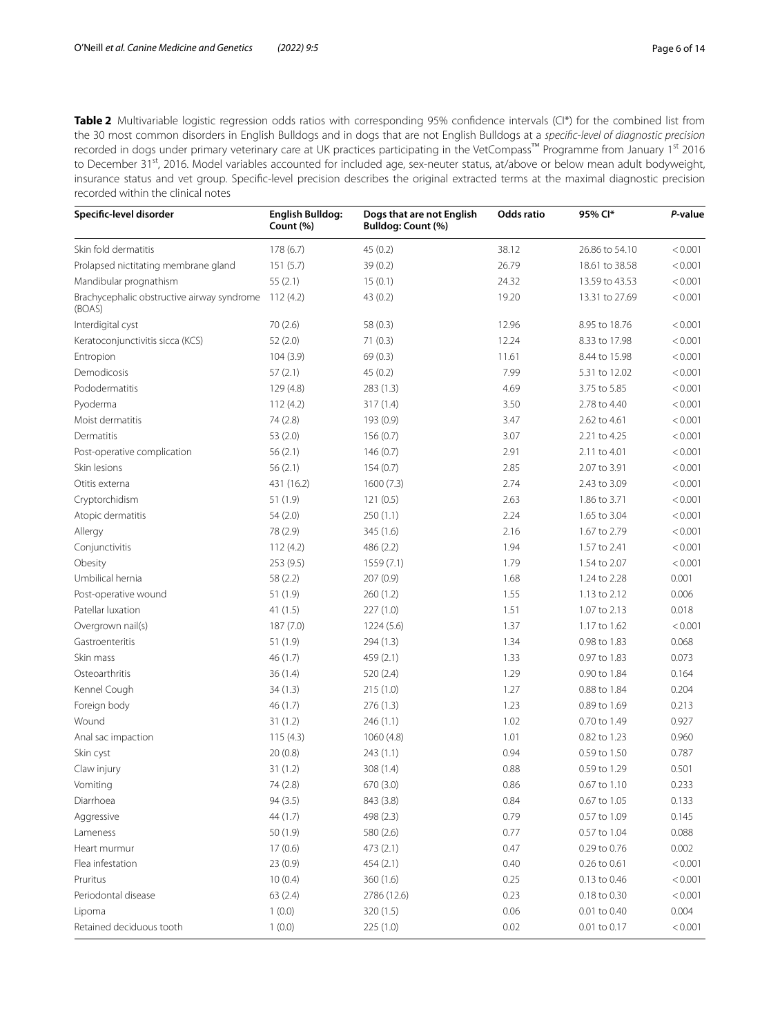<span id="page-5-0"></span>**Table 2** Multivariable logistic regression odds ratios with corresponding 95% confidence intervals (CI\*) for the combined list from the 30 most common disorders in English Bulldogs and in dogs that are not English Bulldogs at a *specifc-level of diagnostic precision* recorded in dogs under primary veterinary care at UK practices participating in the VetCompass™ Programme from January 1st 2016 to December 31st, 2016. Model variables accounted for included age, sex-neuter status, at/above or below mean adult bodyweight, insurance status and vet group. Specifc-level precision describes the original extracted terms at the maximal diagnostic precision recorded within the clinical notes

| Specific-level disorder                              | <b>English Bulldog:</b><br>Count (%) | Dogs that are not English<br>Bulldog: Count (%) | Odds ratio | 95% Cl*        | P-value |
|------------------------------------------------------|--------------------------------------|-------------------------------------------------|------------|----------------|---------|
| Skin fold dermatitis                                 | 178(6.7)                             | 45(0.2)                                         | 38.12      | 26.86 to 54.10 | < 0.001 |
| Prolapsed nictitating membrane gland                 | 151(5.7)                             | 39 (0.2)                                        | 26.79      | 18.61 to 38.58 | < 0.001 |
| Mandibular prognathism                               | 55(2.1)                              | 15(0.1)                                         | 24.32      | 13.59 to 43.53 | < 0.001 |
| Brachycephalic obstructive airway syndrome<br>(BOAS) | 112(4.2)                             | 43 (0.2)                                        | 19.20      | 13.31 to 27.69 | < 0.001 |
| Interdigital cyst                                    | 70(2.6)                              | 58(0.3)                                         | 12.96      | 8.95 to 18.76  | < 0.001 |
| Keratoconjunctivitis sicca (KCS)                     | 52(2.0)                              | 71(0.3)                                         | 12.24      | 8.33 to 17.98  | < 0.001 |
| Entropion                                            | 104(3.9)                             | 69(0.3)                                         | 11.61      | 8.44 to 15.98  | < 0.001 |
| Demodicosis                                          | 57(2.1)                              | 45(0.2)                                         | 7.99       | 5.31 to 12.02  | < 0.001 |
| Pododermatitis                                       | 129(4.8)                             | 283 (1.3)                                       | 4.69       | 3.75 to 5.85   | < 0.001 |
| Pyoderma                                             | 112(4.2)                             | 317(1.4)                                        | 3.50       | 2.78 to 4.40   | < 0.001 |
| Moist dermatitis                                     | 74 (2.8)                             | 193 (0.9)                                       | 3.47       | 2.62 to 4.61   | < 0.001 |
| Dermatitis                                           | 53(2.0)                              | 156(0.7)                                        | 3.07       | 2.21 to 4.25   | < 0.001 |
| Post-operative complication                          | 56(2.1)                              | 146(0.7)                                        | 2.91       | 2.11 to 4.01   | < 0.001 |
| Skin lesions                                         | 56(2.1)                              | 154(0.7)                                        | 2.85       | 2.07 to 3.91   | < 0.001 |
| Otitis externa                                       | 431 (16.2)                           | 1600(7.3)                                       | 2.74       | 2.43 to 3.09   | < 0.001 |
| Cryptorchidism                                       | 51 (1.9)                             | 121(0.5)                                        | 2.63       | 1.86 to 3.71   | < 0.001 |
| Atopic dermatitis                                    | 54 (2.0)                             | 250(1.1)                                        | 2.24       | 1.65 to 3.04   | < 0.001 |
| Allergy                                              | 78 (2.9)                             | 345 (1.6)                                       | 2.16       | 1.67 to 2.79   | < 0.001 |
| Conjunctivitis                                       | 112(4.2)                             | 486 (2.2)                                       | 1.94       | 1.57 to 2.41   | < 0.001 |
| Obesity                                              | 253 (9.5)                            | 1559 (7.1)                                      | 1.79       | 1.54 to 2.07   | < 0.001 |
| Umbilical hernia                                     | 58 (2.2)                             | 207 (0.9)                                       | 1.68       | 1.24 to 2.28   | 0.001   |
| Post-operative wound                                 | 51 (1.9)                             | 260(1.2)                                        | 1.55       | 1.13 to 2.12   | 0.006   |
| Patellar luxation                                    | 41(1.5)                              | 227(1.0)                                        | 1.51       | 1.07 to 2.13   | 0.018   |
| Overgrown nail(s)                                    | 187(7.0)                             | 1224 (5.6)                                      | 1.37       | 1.17 to 1.62   | < 0.001 |
| Gastroenteritis                                      | 51 (1.9)                             | 294 (1.3)                                       | 1.34       | 0.98 to 1.83   | 0.068   |
| Skin mass                                            | 46 (1.7)                             | 459 (2.1)                                       | 1.33       | 0.97 to 1.83   | 0.073   |
| Osteoarthritis                                       | 36(1.4)                              | 520(2.4)                                        | 1.29       | 0.90 to 1.84   | 0.164   |
| Kennel Cough                                         | 34(1.3)                              | 215(1.0)                                        | 1.27       | 0.88 to 1.84   | 0.204   |
| Foreign body                                         | 46 (1.7)                             | 276(1.3)                                        | 1.23       | 0.89 to 1.69   | 0.213   |
| Wound                                                | 31(1.2)                              | 246(1.1)                                        | 1.02       | 0.70 to 1.49   | 0.927   |
| Anal sac impaction                                   | 115(4.3)                             | 1060 (4.8)                                      | 1.01       | 0.82 to 1.23   | 0.960   |
| Skin cyst                                            | 20(0.8)                              | 243(1.1)                                        | 0.94       | 0.59 to 1.50   | 0.787   |
| Claw injury                                          | 31(1.2)                              | 308 (1.4)                                       | 0.88       | 0.59 to 1.29   | 0.501   |
| Vomiting                                             | 74 (2.8)                             | 670 (3.0)                                       | 0.86       | 0.67 to 1.10   | 0.233   |
| Diarrhoea                                            | 94 (3.5)                             | 843 (3.8)                                       | 0.84       | 0.67 to 1.05   | 0.133   |
| Aggressive                                           | 44 (1.7)                             | 498 (2.3)                                       | 0.79       | 0.57 to 1.09   | 0.145   |
| Lameness                                             | 50(1.9)                              | 580 (2.6)                                       | 0.77       | 0.57 to 1.04   | 0.088   |
|                                                      |                                      |                                                 |            |                |         |
| Heart murmur                                         | 17(0.6)                              | 473 (2.1)                                       | 0.47       | 0.29 to 0.76   | 0.002   |
| Flea infestation                                     | 23(0.9)                              | 454 (2.1)                                       | 0.40       | 0.26 to 0.61   | < 0.001 |
| Pruritus                                             | 10(0.4)                              | 360(1.6)                                        | 0.25       | 0.13 to 0.46   | < 0.001 |
| Periodontal disease                                  | 63(2.4)                              | 2786 (12.6)                                     | 0.23       | 0.18 to 0.30   | < 0.001 |
| Lipoma                                               | 1(0.0)                               | 320(1.5)                                        | 0.06       | 0.01 to 0.40   | 0.004   |
| Retained deciduous tooth                             | 1(0.0)                               | 225 (1.0)                                       | 0.02       | 0.01 to 0.17   | < 0.001 |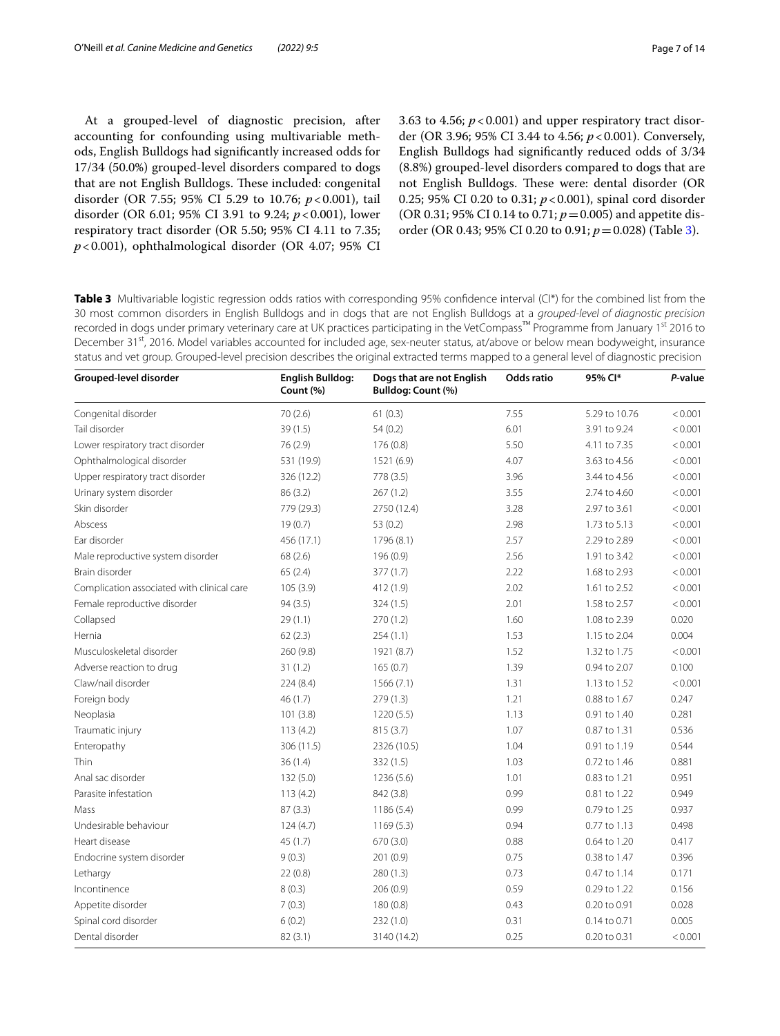At a grouped-level of diagnostic precision, after accounting for confounding using multivariable methods, English Bulldogs had signifcantly increased odds for 17/34 (50.0%) grouped-level disorders compared to dogs that are not English Bulldogs. These included: congenital disorder (OR 7.55; 95% CI 5.29 to 10.76; *p*<0.001), tail disorder (OR 6.01; 95% CI 3.91 to 9.24; *p*<0.001), lower respiratory tract disorder (OR 5.50; 95% CI 4.11 to 7.35; *p*<0.001), ophthalmological disorder (OR 4.07; 95% CI 3.63 to 4.56;  $p < 0.001$ ) and upper respiratory tract disorder (OR 3.96; 95% CI 3.44 to 4.56; *p*<0.001). Conversely, English Bulldogs had signifcantly reduced odds of 3/34 (8.8%) grouped-level disorders compared to dogs that are not English Bulldogs. These were: dental disorder (OR 0.25; 95% CI 0.20 to 0.31; *p*<0.001), spinal cord disorder (OR 0.31; 95% CI 0.14 to 0.71;  $p = 0.005$ ) and appetite disorder (OR 0.43; 95% CI 0.20 to 0.91; *p*=0.028) (Table [3\)](#page-6-0).

<span id="page-6-0"></span>**Table 3** Multivariable logistic regression odds ratios with corresponding 95% confidence interval (CI\*) for the combined list from the 30 most common disorders in English Bulldogs and in dogs that are not English Bulldogs at a *grouped-level of diagnostic precision* recorded in dogs under primary veterinary care at UK practices participating in the VetCompass™ Programme from January 1st 2016 to December 31<sup>st</sup>, 2016. Model variables accounted for included age, sex-neuter status, at/above or below mean bodyweight, insurance status and vet group. Grouped-level precision describes the original extracted terms mapped to a general level of diagnostic precision

| Grouped-level disorder                     | <b>English Bulldog:</b><br>Count (%) | Dogs that are not English<br>Bulldog: Count (%) | Odds ratio | 95% Cl*       | P-value |
|--------------------------------------------|--------------------------------------|-------------------------------------------------|------------|---------------|---------|
| Congenital disorder                        | 70 (2.6)                             | 61(0.3)                                         | 7.55       | 5.29 to 10.76 | < 0.001 |
| Tail disorder                              | 39 (1.5)                             | 54(0.2)                                         | 6.01       | 3.91 to 9.24  | < 0.001 |
| Lower respiratory tract disorder           | 76 (2.9)                             | 176(0.8)                                        | 5.50       | 4.11 to 7.35  | < 0.001 |
| Ophthalmological disorder                  | 531 (19.9)                           | 1521 (6.9)                                      | 4.07       | 3.63 to 4.56  | < 0.001 |
| Upper respiratory tract disorder           | 326 (12.2)                           | 778 (3.5)                                       | 3.96       | 3.44 to 4.56  | < 0.001 |
| Urinary system disorder                    | 86 (3.2)                             | 267(1.2)                                        | 3.55       | 2.74 to 4.60  | < 0.001 |
| Skin disorder                              | 779 (29.3)                           | 2750 (12.4)                                     | 3.28       | 2.97 to 3.61  | < 0.001 |
| Abscess                                    | 19(0.7)                              | 53 (0.2)                                        | 2.98       | 1.73 to 5.13  | < 0.001 |
| Ear disorder                               | 456 (17.1)                           | 1796 (8.1)                                      | 2.57       | 2.29 to 2.89  | < 0.001 |
| Male reproductive system disorder          | 68 (2.6)                             | 196 (0.9)                                       | 2.56       | 1.91 to 3.42  | < 0.001 |
| Brain disorder                             | 65(2.4)                              | 377 (1.7)                                       | 2.22       | 1.68 to 2.93  | < 0.001 |
| Complication associated with clinical care | 105(3.9)                             | 412 (1.9)                                       | 2.02       | 1.61 to 2.52  | < 0.001 |
| Female reproductive disorder               | 94(3.5)                              | 324(1.5)                                        | 2.01       | 1.58 to 2.57  | < 0.001 |
| Collapsed                                  | 29(1.1)                              | 270(1.2)                                        | 1.60       | 1.08 to 2.39  | 0.020   |
| Hernia                                     | 62(2.3)                              | 254(1.1)                                        | 1.53       | 1.15 to 2.04  | 0.004   |
| Musculoskeletal disorder                   | 260(9.8)                             | 1921 (8.7)                                      | 1.52       | 1.32 to 1.75  | < 0.001 |
| Adverse reaction to drug                   | 31(1.2)                              | 165(0.7)                                        | 1.39       | 0.94 to 2.07  | 0.100   |
| Claw/nail disorder                         | 224(8.4)                             | 1566(7.1)                                       | 1.31       | 1.13 to 1.52  | < 0.001 |
| Foreign body                               | 46 (1.7)                             | 279(1.3)                                        | 1.21       | 0.88 to 1.67  | 0.247   |
| Neoplasia                                  | 101(3.8)                             | 1220(5.5)                                       | 1.13       | 0.91 to 1.40  | 0.281   |
| Traumatic injury                           | 113(4.2)                             | 815(3.7)                                        | 1.07       | 0.87 to 1.31  | 0.536   |
| Enteropathy                                | 306 (11.5)                           | 2326 (10.5)                                     | 1.04       | 0.91 to 1.19  | 0.544   |
| <b>Thin</b>                                | 36(1.4)                              | 332 (1.5)                                       | 1.03       | 0.72 to 1.46  | 0.881   |
| Anal sac disorder                          | 132(5.0)                             | 1236(5.6)                                       | 1.01       | 0.83 to 1.21  | 0.951   |
| Parasite infestation                       | 113(4.2)                             | 842 (3.8)                                       | 0.99       | 0.81 to 1.22  | 0.949   |
| Mass                                       | 87(3.3)                              | 1186(5.4)                                       | 0.99       | 0.79 to 1.25  | 0.937   |
| Undesirable behaviour                      | 124(4.7)                             | 1169(5.3)                                       | 0.94       | 0.77 to 1.13  | 0.498   |
| Heart disease                              | 45(1.7)                              | 670 (3.0)                                       | 0.88       | 0.64 to 1.20  | 0.417   |
| Endocrine system disorder                  | 9(0.3)                               | 201(0.9)                                        | 0.75       | 0.38 to 1.47  | 0.396   |
| Lethargy                                   | 22(0.8)                              | 280(1.3)                                        | 0.73       | 0.47 to 1.14  | 0.171   |
| Incontinence                               | 8(0.3)                               | 206(0.9)                                        | 0.59       | 0.29 to 1.22  | 0.156   |
| Appetite disorder                          | 7(0.3)                               | 180 (0.8)                                       | 0.43       | 0.20 to 0.91  | 0.028   |
| Spinal cord disorder                       | 6(0.2)                               | 232(1.0)                                        | 0.31       | 0.14 to 0.71  | 0.005   |
| Dental disorder                            | 82(3.1)                              | 3140 (14.2)                                     | 0.25       | 0.20 to 0.31  | < 0.001 |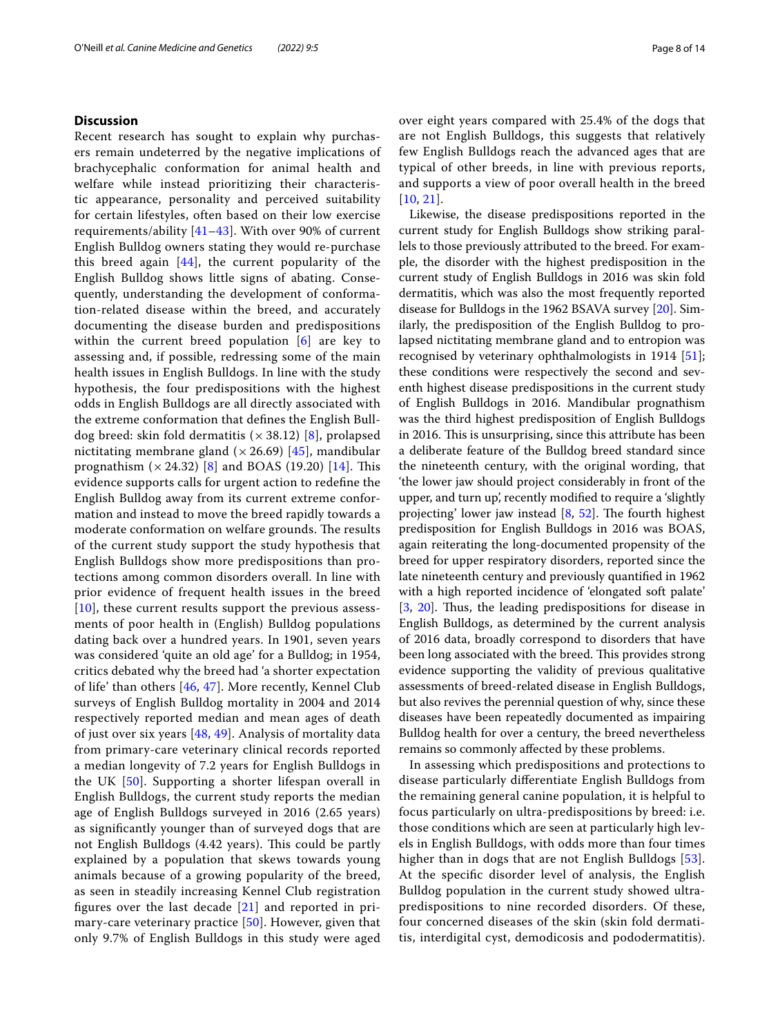# **Discussion**

Recent research has sought to explain why purchasers remain undeterred by the negative implications of brachycephalic conformation for animal health and welfare while instead prioritizing their characteristic appearance, personality and perceived suitability for certain lifestyles, often based on their low exercise requirements/ability [[41](#page-12-40)–[43](#page-12-41)]. With over 90% of current English Bulldog owners stating they would re-purchase this breed again [[44](#page-13-0)], the current popularity of the English Bulldog shows little signs of abating. Consequently, understanding the development of conformation-related disease within the breed, and accurately documenting the disease burden and predispositions within the current breed population [[6\]](#page-12-5) are key to assessing and, if possible, redressing some of the main health issues in English Bulldogs. In line with the study hypothesis, the four predispositions with the highest odds in English Bulldogs are all directly associated with the extreme conformation that defnes the English Bulldog breed: skin fold dermatitis ( $\times$  38.12) [[8\]](#page-12-7), prolapsed nictitating membrane gland ( $\times$  26.69) [[45](#page-13-1)], mandibular prognathism  $(x 24.32)$  [\[8](#page-12-7)] and BOAS (19.20) [[14](#page-12-10)]. This evidence supports calls for urgent action to redefne the English Bulldog away from its current extreme conformation and instead to move the breed rapidly towards a moderate conformation on welfare grounds. The results of the current study support the study hypothesis that English Bulldogs show more predispositions than protections among common disorders overall. In line with prior evidence of frequent health issues in the breed [[10](#page-12-9)], these current results support the previous assessments of poor health in (English) Bulldog populations dating back over a hundred years. In 1901, seven years was considered 'quite an old age' for a Bulldog; in 1954, critics debated why the breed had 'a shorter expectation of life' than others [[46](#page-13-2), [47](#page-13-3)]. More recently, Kennel Club surveys of English Bulldog mortality in 2004 and 2014 respectively reported median and mean ages of death of just over six years [[48,](#page-13-4) [49\]](#page-13-5). Analysis of mortality data from primary-care veterinary clinical records reported a median longevity of 7.2 years for English Bulldogs in the UK [\[50\]](#page-13-6). Supporting a shorter lifespan overall in English Bulldogs, the current study reports the median age of English Bulldogs surveyed in 2016 (2.65 years) as signifcantly younger than of surveyed dogs that are not English Bulldogs (4.42 years). This could be partly explained by a population that skews towards young animals because of a growing popularity of the breed, as seen in steadily increasing Kennel Club registration fgures over the last decade [[21\]](#page-12-20) and reported in primary-care veterinary practice [[50](#page-13-6)]. However, given that only 9.7% of English Bulldogs in this study were aged over eight years compared with 25.4% of the dogs that are not English Bulldogs, this suggests that relatively few English Bulldogs reach the advanced ages that are typical of other breeds, in line with previous reports, and supports a view of poor overall health in the breed [[10](#page-12-9), [21](#page-12-20)].

Likewise, the disease predispositions reported in the current study for English Bulldogs show striking parallels to those previously attributed to the breed. For example, the disorder with the highest predisposition in the current study of English Bulldogs in 2016 was skin fold dermatitis, which was also the most frequently reported disease for Bulldogs in the 1962 BSAVA survey [\[20](#page-12-19)]. Similarly, the predisposition of the English Bulldog to prolapsed nictitating membrane gland and to entropion was recognised by veterinary ophthalmologists in 1914 [\[51](#page-13-7)]; these conditions were respectively the second and seventh highest disease predispositions in the current study of English Bulldogs in 2016. Mandibular prognathism was the third highest predisposition of English Bulldogs in 2016. This is unsurprising, since this attribute has been a deliberate feature of the Bulldog breed standard since the nineteenth century, with the original wording, that 'the lower jaw should project considerably in front of the upper, and turn up', recently modifed to require a 'slightly projecting' lower jaw instead  $[8, 52]$  $[8, 52]$  $[8, 52]$  $[8, 52]$ . The fourth highest predisposition for English Bulldogs in 2016 was BOAS, again reiterating the long-documented propensity of the breed for upper respiratory disorders, reported since the late nineteenth century and previously quantifed in 1962 with a high reported incidence of 'elongated soft palate' [[3,](#page-12-2) [20\]](#page-12-19). Thus, the leading predispositions for disease in English Bulldogs, as determined by the current analysis of 2016 data, broadly correspond to disorders that have been long associated with the breed. This provides strong evidence supporting the validity of previous qualitative assessments of breed-related disease in English Bulldogs, but also revives the perennial question of why, since these diseases have been repeatedly documented as impairing Bulldog health for over a century, the breed nevertheless remains so commonly afected by these problems.

In assessing which predispositions and protections to disease particularly diferentiate English Bulldogs from the remaining general canine population, it is helpful to focus particularly on ultra-predispositions by breed: i.e. those conditions which are seen at particularly high levels in English Bulldogs, with odds more than four times higher than in dogs that are not English Bulldogs [[53](#page-13-9)]. At the specifc disorder level of analysis, the English Bulldog population in the current study showed ultrapredispositions to nine recorded disorders. Of these, four concerned diseases of the skin (skin fold dermatitis, interdigital cyst, demodicosis and pododermatitis).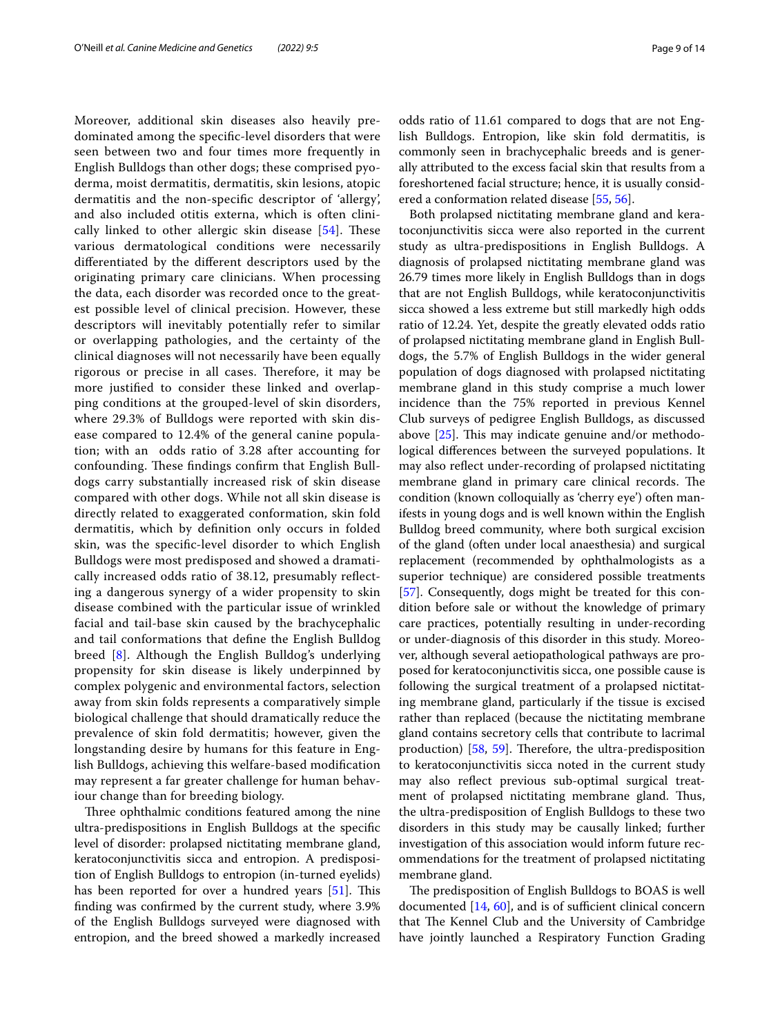Moreover, additional skin diseases also heavily predominated among the specifc-level disorders that were seen between two and four times more frequently in English Bulldogs than other dogs; these comprised pyoderma, moist dermatitis, dermatitis, skin lesions, atopic dermatitis and the non-specifc descriptor of 'allergy', and also included otitis externa, which is often clinically linked to other allergic skin disease  $[54]$  $[54]$  $[54]$ . These various dermatological conditions were necessarily diferentiated by the diferent descriptors used by the originating primary care clinicians. When processing the data, each disorder was recorded once to the greatest possible level of clinical precision. However, these descriptors will inevitably potentially refer to similar or overlapping pathologies, and the certainty of the clinical diagnoses will not necessarily have been equally rigorous or precise in all cases. Therefore, it may be more justifed to consider these linked and overlapping conditions at the grouped-level of skin disorders, where 29.3% of Bulldogs were reported with skin disease compared to 12.4% of the general canine population; with an odds ratio of 3.28 after accounting for confounding. These findings confirm that English Bulldogs carry substantially increased risk of skin disease compared with other dogs. While not all skin disease is directly related to exaggerated conformation, skin fold dermatitis, which by defnition only occurs in folded skin, was the specifc-level disorder to which English Bulldogs were most predisposed and showed a dramatically increased odds ratio of 38.12, presumably refecting a dangerous synergy of a wider propensity to skin disease combined with the particular issue of wrinkled facial and tail-base skin caused by the brachycephalic and tail conformations that defne the English Bulldog breed [[8\]](#page-12-7). Although the English Bulldog's underlying propensity for skin disease is likely underpinned by complex polygenic and environmental factors, selection away from skin folds represents a comparatively simple biological challenge that should dramatically reduce the prevalence of skin fold dermatitis; however, given the longstanding desire by humans for this feature in English Bulldogs, achieving this welfare-based modifcation may represent a far greater challenge for human behaviour change than for breeding biology.

Three ophthalmic conditions featured among the nine ultra-predispositions in English Bulldogs at the specifc level of disorder: prolapsed nictitating membrane gland, keratoconjunctivitis sicca and entropion. A predisposition of English Bulldogs to entropion (in-turned eyelids) has been reported for over a hundred years  $[51]$  $[51]$  $[51]$ . This fnding was confrmed by the current study, where 3.9% of the English Bulldogs surveyed were diagnosed with entropion, and the breed showed a markedly increased odds ratio of 11.61 compared to dogs that are not English Bulldogs. Entropion, like skin fold dermatitis, is commonly seen in brachycephalic breeds and is generally attributed to the excess facial skin that results from a foreshortened facial structure; hence, it is usually considered a conformation related disease [\[55](#page-13-11), [56](#page-13-12)].

Both prolapsed nictitating membrane gland and keratoconjunctivitis sicca were also reported in the current study as ultra-predispositions in English Bulldogs. A diagnosis of prolapsed nictitating membrane gland was 26.79 times more likely in English Bulldogs than in dogs that are not English Bulldogs, while keratoconjunctivitis sicca showed a less extreme but still markedly high odds ratio of 12.24. Yet, despite the greatly elevated odds ratio of prolapsed nictitating membrane gland in English Bulldogs, the 5.7% of English Bulldogs in the wider general population of dogs diagnosed with prolapsed nictitating membrane gland in this study comprise a much lower incidence than the 75% reported in previous Kennel Club surveys of pedigree English Bulldogs, as discussed above  $[25]$ . This may indicate genuine and/or methodological diferences between the surveyed populations. It may also refect under-recording of prolapsed nictitating membrane gland in primary care clinical records. The condition (known colloquially as 'cherry eye') often manifests in young dogs and is well known within the English Bulldog breed community, where both surgical excision of the gland (often under local anaesthesia) and surgical replacement (recommended by ophthalmologists as a superior technique) are considered possible treatments [[57\]](#page-13-13). Consequently, dogs might be treated for this condition before sale or without the knowledge of primary care practices, potentially resulting in under-recording or under-diagnosis of this disorder in this study. Moreover, although several aetiopathological pathways are proposed for keratoconjunctivitis sicca, one possible cause is following the surgical treatment of a prolapsed nictitating membrane gland, particularly if the tissue is excised rather than replaced (because the nictitating membrane gland contains secretory cells that contribute to lacrimal production)  $[58, 59]$  $[58, 59]$  $[58, 59]$ . Therefore, the ultra-predisposition to keratoconjunctivitis sicca noted in the current study may also refect previous sub-optimal surgical treatment of prolapsed nictitating membrane gland. Thus, the ultra-predisposition of English Bulldogs to these two disorders in this study may be causally linked; further investigation of this association would inform future recommendations for the treatment of prolapsed nictitating membrane gland.

The predisposition of English Bulldogs to BOAS is well documented  $[14, 60]$  $[14, 60]$  $[14, 60]$ , and is of sufficient clinical concern that The Kennel Club and the University of Cambridge have jointly launched a Respiratory Function Grading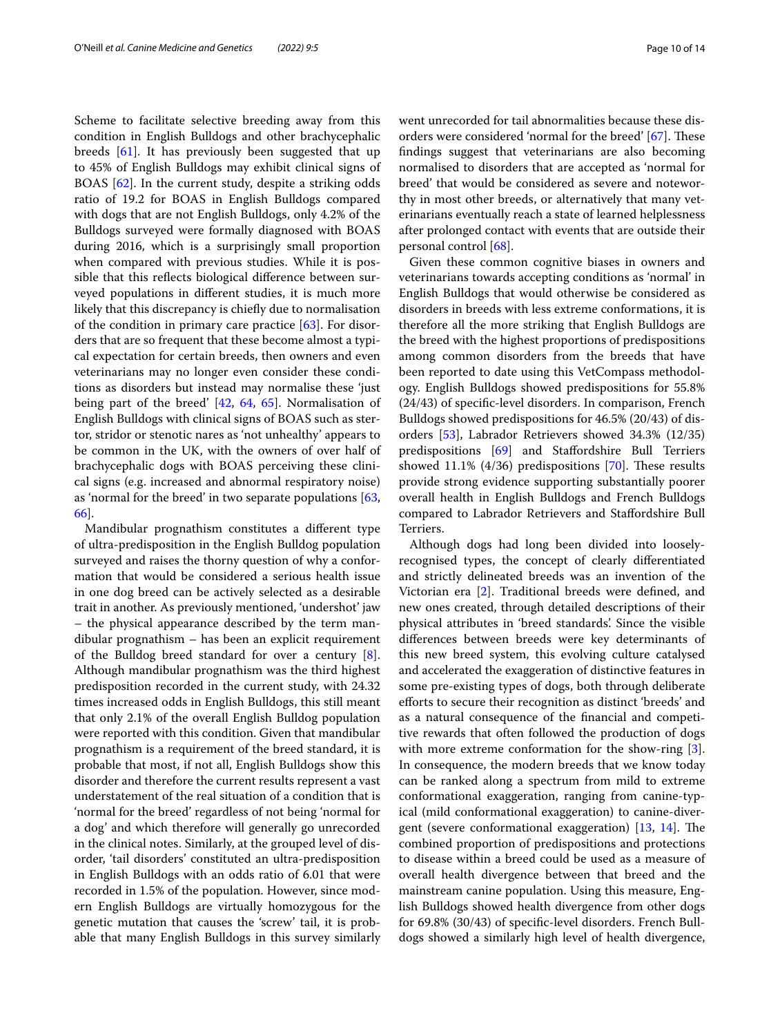Scheme to facilitate selective breeding away from this condition in English Bulldogs and other brachycephalic breeds [[61\]](#page-13-17). It has previously been suggested that up to 45% of English Bulldogs may exhibit clinical signs of BOAS [[62\]](#page-13-18). In the current study, despite a striking odds ratio of 19.2 for BOAS in English Bulldogs compared with dogs that are not English Bulldogs, only 4.2% of the Bulldogs surveyed were formally diagnosed with BOAS during 2016, which is a surprisingly small proportion when compared with previous studies. While it is possible that this refects biological diference between surveyed populations in diferent studies, it is much more likely that this discrepancy is chiefy due to normalisation of the condition in primary care practice [[63](#page-13-19)]. For disorders that are so frequent that these become almost a typical expectation for certain breeds, then owners and even veterinarians may no longer even consider these conditions as disorders but instead may normalise these 'just being part of the breed' [[42,](#page-12-42) [64](#page-13-20), [65](#page-13-21)]. Normalisation of English Bulldogs with clinical signs of BOAS such as stertor, stridor or stenotic nares as 'not unhealthy' appears to be common in the UK, with the owners of over half of brachycephalic dogs with BOAS perceiving these clinical signs (e.g. increased and abnormal respiratory noise) as 'normal for the breed' in two separate populations [\[63](#page-13-19), [66\]](#page-13-22).

Mandibular prognathism constitutes a diferent type of ultra-predisposition in the English Bulldog population surveyed and raises the thorny question of why a conformation that would be considered a serious health issue in one dog breed can be actively selected as a desirable trait in another. As previously mentioned, 'undershot' jaw – the physical appearance described by the term mandibular prognathism – has been an explicit requirement of the Bulldog breed standard for over a century [\[8](#page-12-7)]. Although mandibular prognathism was the third highest predisposition recorded in the current study, with 24.32 times increased odds in English Bulldogs, this still meant that only 2.1% of the overall English Bulldog population were reported with this condition. Given that mandibular prognathism is a requirement of the breed standard, it is probable that most, if not all, English Bulldogs show this disorder and therefore the current results represent a vast understatement of the real situation of a condition that is 'normal for the breed' regardless of not being 'normal for a dog' and which therefore will generally go unrecorded in the clinical notes. Similarly, at the grouped level of disorder, 'tail disorders' constituted an ultra-predisposition in English Bulldogs with an odds ratio of 6.01 that were recorded in 1.5% of the population. However, since modern English Bulldogs are virtually homozygous for the genetic mutation that causes the 'screw' tail, it is probable that many English Bulldogs in this survey similarly went unrecorded for tail abnormalities because these dis-orders were considered 'normal for the breed' [\[67\]](#page-13-23). These fndings suggest that veterinarians are also becoming normalised to disorders that are accepted as 'normal for breed' that would be considered as severe and noteworthy in most other breeds, or alternatively that many veterinarians eventually reach a state of learned helplessness after prolonged contact with events that are outside their personal control [\[68\]](#page-13-24).

Given these common cognitive biases in owners and veterinarians towards accepting conditions as 'normal' in English Bulldogs that would otherwise be considered as disorders in breeds with less extreme conformations, it is therefore all the more striking that English Bulldogs are the breed with the highest proportions of predispositions among common disorders from the breeds that have been reported to date using this VetCompass methodology. English Bulldogs showed predispositions for 55.8% (24/43) of specifc-level disorders. In comparison, French Bulldogs showed predispositions for 46.5% (20/43) of disorders [\[53](#page-13-9)], Labrador Retrievers showed 34.3% (12/35) predispositions [\[69](#page-13-25)] and Stafordshire Bull Terriers showed 11.1% (4/36) predispositions [\[70\]](#page-13-26). These results provide strong evidence supporting substantially poorer overall health in English Bulldogs and French Bulldogs compared to Labrador Retrievers and Stafordshire Bull Terriers.

Although dogs had long been divided into looselyrecognised types, the concept of clearly diferentiated and strictly delineated breeds was an invention of the Victorian era [\[2](#page-12-1)]. Traditional breeds were defned, and new ones created, through detailed descriptions of their physical attributes in 'breed standards'. Since the visible diferences between breeds were key determinants of this new breed system, this evolving culture catalysed and accelerated the exaggeration of distinctive features in some pre-existing types of dogs, both through deliberate eforts to secure their recognition as distinct 'breeds' and as a natural consequence of the fnancial and competitive rewards that often followed the production of dogs with more extreme conformation for the show-ring [\[3](#page-12-2)]. In consequence, the modern breeds that we know today can be ranked along a spectrum from mild to extreme conformational exaggeration, ranging from canine-typical (mild conformational exaggeration) to canine-divergent (severe conformational exaggeration)  $[13, 14]$  $[13, 14]$  $[13, 14]$ . The combined proportion of predispositions and protections to disease within a breed could be used as a measure of overall health divergence between that breed and the mainstream canine population. Using this measure, English Bulldogs showed health divergence from other dogs for 69.8% (30/43) of specifc-level disorders. French Bulldogs showed a similarly high level of health divergence,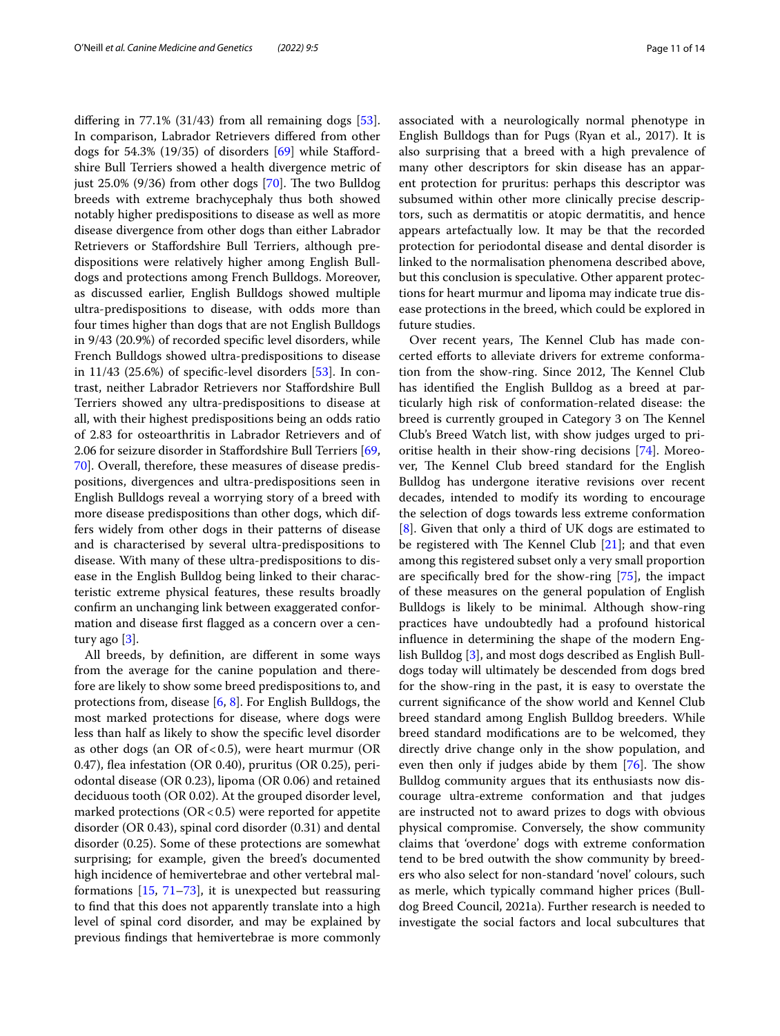difering in 77.1% (31/43) from all remaining dogs [\[53](#page-13-9)]. In comparison, Labrador Retrievers difered from other dogs for 54.3% (19/35) of disorders [\[69\]](#page-13-25) while Stafordshire Bull Terriers showed a health divergence metric of just  $25.0\%$  (9/36) from other dogs [[70](#page-13-26)]. The two Bulldog breeds with extreme brachycephaly thus both showed notably higher predispositions to disease as well as more disease divergence from other dogs than either Labrador Retrievers or Stafordshire Bull Terriers, although predispositions were relatively higher among English Bulldogs and protections among French Bulldogs. Moreover, as discussed earlier, English Bulldogs showed multiple ultra-predispositions to disease, with odds more than four times higher than dogs that are not English Bulldogs in 9/43 (20.9%) of recorded specifc level disorders, while French Bulldogs showed ultra-predispositions to disease in  $11/43$  (25.6%) of specific-level disorders [\[53\]](#page-13-9). In contrast, neither Labrador Retrievers nor Stafordshire Bull Terriers showed any ultra-predispositions to disease at all, with their highest predispositions being an odds ratio of 2.83 for osteoarthritis in Labrador Retrievers and of 2.06 for seizure disorder in Stafordshire Bull Terriers [\[69](#page-13-25), [70\]](#page-13-26). Overall, therefore, these measures of disease predispositions, divergences and ultra-predispositions seen in English Bulldogs reveal a worrying story of a breed with more disease predispositions than other dogs, which differs widely from other dogs in their patterns of disease and is characterised by several ultra-predispositions to disease. With many of these ultra-predispositions to disease in the English Bulldog being linked to their characteristic extreme physical features, these results broadly confrm an unchanging link between exaggerated conformation and disease frst fagged as a concern over a century ago [[3\]](#page-12-2).

All breeds, by defnition, are diferent in some ways from the average for the canine population and therefore are likely to show some breed predispositions to, and protections from, disease [[6,](#page-12-5) [8](#page-12-7)]. For English Bulldogs, the most marked protections for disease, where dogs were less than half as likely to show the specifc level disorder as other dogs (an OR of < 0.5), were heart murmur (OR 0.47), fea infestation (OR 0.40), pruritus (OR 0.25), periodontal disease (OR 0.23), lipoma (OR 0.06) and retained deciduous tooth (OR 0.02). At the grouped disorder level, marked protections ( $OR < 0.5$ ) were reported for appetite disorder (OR 0.43), spinal cord disorder (0.31) and dental disorder (0.25). Some of these protections are somewhat surprising; for example, given the breed's documented high incidence of hemivertebrae and other vertebral malformations  $[15, 71-73]$  $[15, 71-73]$  $[15, 71-73]$  $[15, 71-73]$ , it is unexpected but reassuring to fnd that this does not apparently translate into a high level of spinal cord disorder, and may be explained by previous fndings that hemivertebrae is more commonly associated with a neurologically normal phenotype in English Bulldogs than for Pugs (Ryan et al., 2017). It is also surprising that a breed with a high prevalence of many other descriptors for skin disease has an apparent protection for pruritus: perhaps this descriptor was subsumed within other more clinically precise descriptors, such as dermatitis or atopic dermatitis, and hence appears artefactually low. It may be that the recorded protection for periodontal disease and dental disorder is

linked to the normalisation phenomena described above, but this conclusion is speculative. Other apparent protections for heart murmur and lipoma may indicate true disease protections in the breed, which could be explored in future studies. Over recent years, The Kennel Club has made con-

certed efforts to alleviate drivers for extreme conformation from the show-ring. Since 2012, The Kennel Club has identifed the English Bulldog as a breed at particularly high risk of conformation-related disease: the breed is currently grouped in Category 3 on The Kennel Club's Breed Watch list, with show judges urged to prioritise health in their show-ring decisions [\[74](#page-13-29)]. Moreover, The Kennel Club breed standard for the English Bulldog has undergone iterative revisions over recent decades, intended to modify its wording to encourage the selection of dogs towards less extreme conformation [[8\]](#page-12-7). Given that only a third of UK dogs are estimated to be registered with The Kennel Club  $[21]$ ; and that even among this registered subset only a very small proportion are specifcally bred for the show-ring [\[75\]](#page-13-30), the impact of these measures on the general population of English Bulldogs is likely to be minimal. Although show-ring practices have undoubtedly had a profound historical infuence in determining the shape of the modern English Bulldog [[3\]](#page-12-2), and most dogs described as English Bulldogs today will ultimately be descended from dogs bred for the show-ring in the past, it is easy to overstate the current signifcance of the show world and Kennel Club breed standard among English Bulldog breeders. While breed standard modifcations are to be welcomed, they directly drive change only in the show population, and even then only if judges abide by them  $[76]$  $[76]$ . The show Bulldog community argues that its enthusiasts now discourage ultra-extreme conformation and that judges are instructed not to award prizes to dogs with obvious physical compromise. Conversely, the show community claims that 'overdone' dogs with extreme conformation tend to be bred outwith the show community by breeders who also select for non-standard 'novel' colours, such as merle, which typically command higher prices (Bulldog Breed Council, 2021a). Further research is needed to investigate the social factors and local subcultures that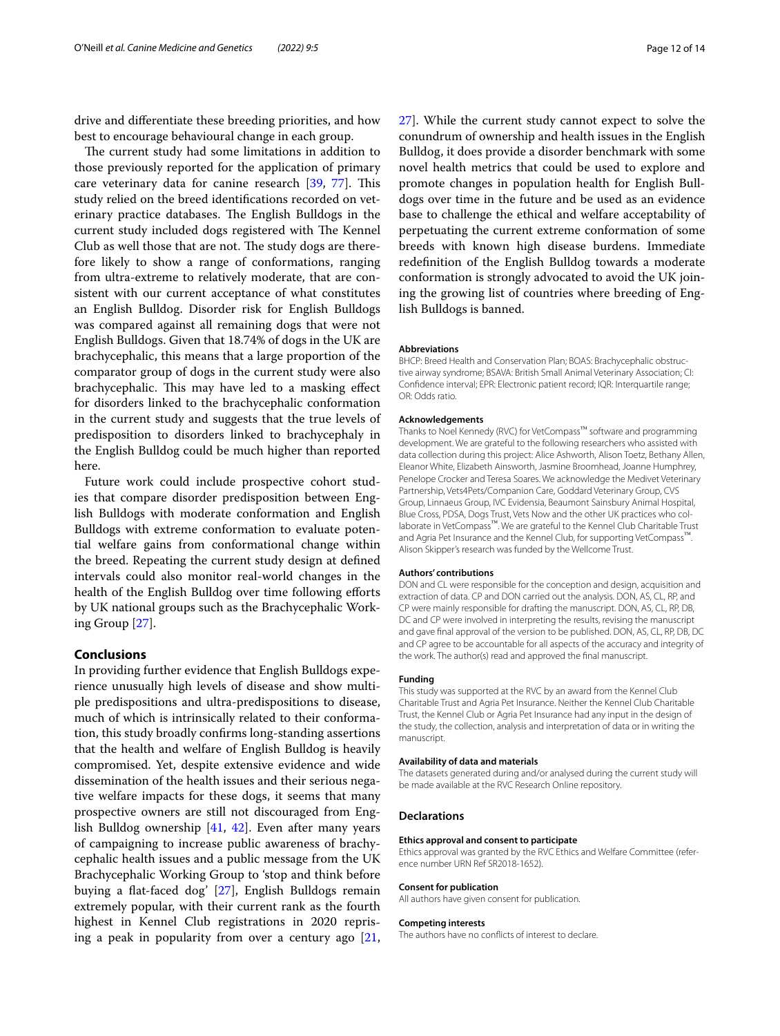drive and diferentiate these breeding priorities, and how best to encourage behavioural change in each group.

The current study had some limitations in addition to those previously reported for the application of primary care veterinary data for canine research [[39,](#page-12-38) [77](#page-13-32)]. This study relied on the breed identifcations recorded on veterinary practice databases. The English Bulldogs in the current study included dogs registered with The Kennel Club as well those that are not. The study dogs are therefore likely to show a range of conformations, ranging from ultra-extreme to relatively moderate, that are consistent with our current acceptance of what constitutes an English Bulldog. Disorder risk for English Bulldogs was compared against all remaining dogs that were not English Bulldogs. Given that 18.74% of dogs in the UK are brachycephalic, this means that a large proportion of the comparator group of dogs in the current study were also brachycephalic. This may have led to a masking effect for disorders linked to the brachycephalic conformation in the current study and suggests that the true levels of predisposition to disorders linked to brachycephaly in the English Bulldog could be much higher than reported here.

Future work could include prospective cohort studies that compare disorder predisposition between English Bulldogs with moderate conformation and English Bulldogs with extreme conformation to evaluate potential welfare gains from conformational change within the breed. Repeating the current study design at defned intervals could also monitor real-world changes in the health of the English Bulldog over time following efforts by UK national groups such as the Brachycephalic Working Group [[27\]](#page-12-26).

## **Conclusions**

In providing further evidence that English Bulldogs experience unusually high levels of disease and show multiple predispositions and ultra-predispositions to disease, much of which is intrinsically related to their conformation, this study broadly confrms long-standing assertions that the health and welfare of English Bulldog is heavily compromised. Yet, despite extensive evidence and wide dissemination of the health issues and their serious negative welfare impacts for these dogs, it seems that many prospective owners are still not discouraged from English Bulldog ownership [[41,](#page-12-40) [42\]](#page-12-42). Even after many years of campaigning to increase public awareness of brachycephalic health issues and a public message from the UK Brachycephalic Working Group to 'stop and think before buying a fat-faced dog' [[27](#page-12-26)], English Bulldogs remain extremely popular, with their current rank as the fourth highest in Kennel Club registrations in 2020 reprising a peak in popularity from over a century ago  $[21, 1]$  $[21, 1]$  [27\]](#page-12-26). While the current study cannot expect to solve the conundrum of ownership and health issues in the English Bulldog, it does provide a disorder benchmark with some novel health metrics that could be used to explore and promote changes in population health for English Bulldogs over time in the future and be used as an evidence base to challenge the ethical and welfare acceptability of perpetuating the current extreme conformation of some breeds with known high disease burdens. Immediate redefnition of the English Bulldog towards a moderate conformation is strongly advocated to avoid the UK joining the growing list of countries where breeding of English Bulldogs is banned.

# **Abbreviations**

BHCP: Breed Health and Conservation Plan; BOAS: Brachycephalic obstructive airway syndrome; BSAVA: British Small Animal Veterinary Association; CI: Confdence interval; EPR: Electronic patient record; IQR: Interquartile range; OR: Odds ratio.

#### **Acknowledgements**

Thanks to Noel Kennedy (RVC) for VetCompass™ software and programming development. We are grateful to the following researchers who assisted with data collection during this project: Alice Ashworth, Alison Toetz, Bethany Allen, Eleanor White, Elizabeth Ainsworth, Jasmine Broomhead, Joanne Humphrey, Penelope Crocker and Teresa Soares. We acknowledge the Medivet Veterinary Partnership, Vets4Pets/Companion Care, Goddard Veterinary Group, CVS Group, Linnaeus Group, IVC Evidensia, Beaumont Sainsbury Animal Hospital, Blue Cross, PDSA, Dogs Trust, Vets Now and the other UK practices who collaborate in VetCompass™. We are grateful to the Kennel Club Charitable Trust and Agria Pet Insurance and the Kennel Club, for supporting VetCompass™. Alison Skipper's research was funded by the Wellcome Trust.

#### **Authors' contributions**

DON and CL were responsible for the conception and design, acquisition and extraction of data. CP and DON carried out the analysis. DON, AS, CL, RP, and CP were mainly responsible for drafting the manuscript. DON, AS, CL, RP, DB, DC and CP were involved in interpreting the results, revising the manuscript and gave fnal approval of the version to be published. DON, AS, CL, RP, DB, DC and CP agree to be accountable for all aspects of the accuracy and integrity of the work. The author(s) read and approved the fnal manuscript.

#### **Funding**

This study was supported at the RVC by an award from the Kennel Club Charitable Trust and Agria Pet Insurance. Neither the Kennel Club Charitable Trust, the Kennel Club or Agria Pet Insurance had any input in the design of the study, the collection, analysis and interpretation of data or in writing the manuscript.

#### **Availability of data and materials**

The datasets generated during and/or analysed during the current study will be made available at the RVC Research Online repository.

#### **Declarations**

#### **Ethics approval and consent to participate**

Ethics approval was granted by the RVC Ethics and Welfare Committee (reference number URN Ref SR2018-1652).

#### **Consent for publication**

All authors have given consent for publication.

#### **Competing interests**

The authors have no conficts of interest to declare.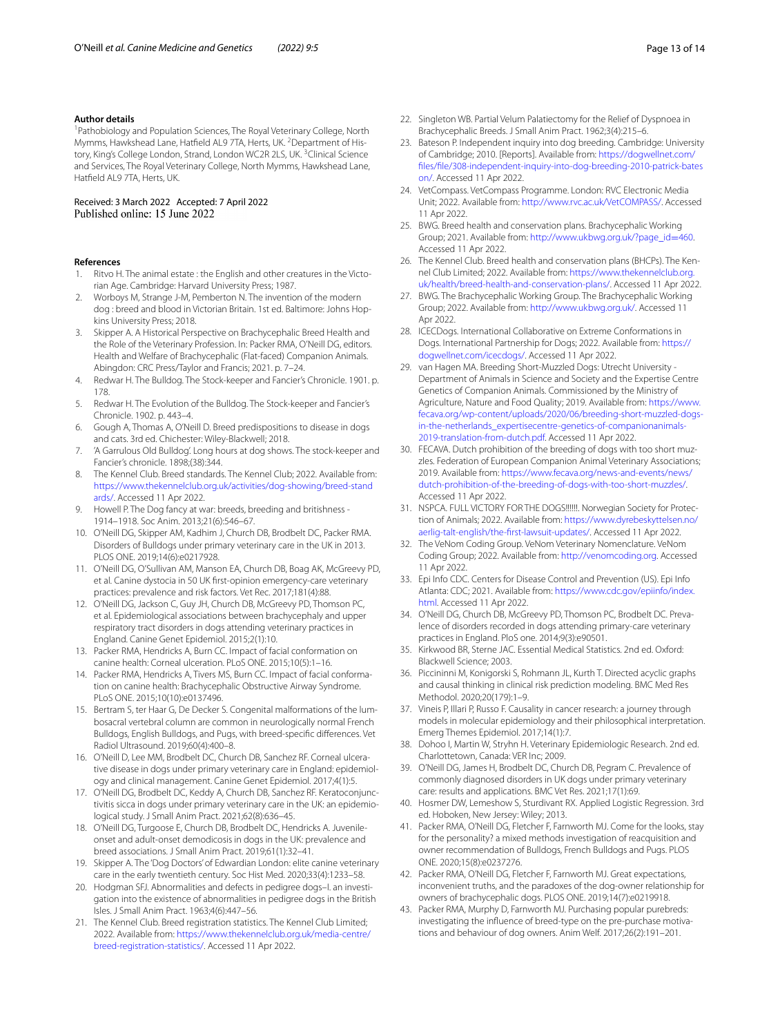#### **Author details**

<sup>1</sup> Pathobiology and Population Sciences, The Royal Veterinary College, North Mymms, Hawkshead Lane, Hatfield AL9 7TA, Herts, UK. <sup>2</sup>Department of History, King's College London, Strand, London WC2R 2LS, UK. <sup>3</sup>Clinical Science and Services, The Royal Veterinary College, North Mymms, Hawkshead Lane, Hatfeld AL9 7TA, Herts, UK.

# Received: 3 March 2022 Accepted: 7 April 2022

#### **References**

- <span id="page-12-0"></span>Ritvo H. The animal estate : the English and other creatures in the Victorian Age. Cambridge: Harvard University Press; 1987.
- <span id="page-12-1"></span>2. Worboys M, Strange J-M, Pemberton N. The invention of the modern dog : breed and blood in Victorian Britain. 1st ed. Baltimore: Johns Hopkins University Press; 2018.
- <span id="page-12-2"></span>3. Skipper A. A Historical Perspective on Brachycephalic Breed Health and the Role of the Veterinary Profession. In: Packer RMA, O'Neill DG, editors. Health and Welfare of Brachycephalic (Flat-faced) Companion Animals. Abingdon: CRC Press/Taylor and Francis; 2021. p. 7–24.
- <span id="page-12-3"></span>4. Redwar H. The Bulldog. The Stock-keeper and Fancier's Chronicle. 1901. p. 178.
- <span id="page-12-4"></span>5. Redwar H. The Evolution of the Bulldog. The Stock-keeper and Fancier's Chronicle. 1902. p. 443–4.
- <span id="page-12-5"></span>6. Gough A, Thomas A, O'Neill D. Breed predispositions to disease in dogs and cats. 3rd ed. Chichester: Wiley-Blackwell; 2018.
- <span id="page-12-6"></span>7. 'A Garrulous Old Bulldog'. Long hours at dog shows. The stock-keeper and Fancier's chronicle. 1898;(38):344.
- <span id="page-12-7"></span>8. The Kennel Club. Breed standards. The Kennel Club; 2022. Available from: [https://www.thekennelclub.org.uk/activities/dog-showing/breed-stand](https://www.thekennelclub.org.uk/activities/dog-showing/breed-standards/) [ards/.](https://www.thekennelclub.org.uk/activities/dog-showing/breed-standards/) Accessed 11 Apr 2022.
- <span id="page-12-8"></span>9. Howell P. The Dog fancy at war: breeds, breeding and britishness - 1914–1918. Soc Anim. 2013;21(6):546–67.
- <span id="page-12-9"></span>10. O'Neill DG, Skipper AM, Kadhim J, Church DB, Brodbelt DC, Packer RMA. Disorders of Bulldogs under primary veterinary care in the UK in 2013. PLOS ONE. 2019;14(6):e0217928.
- <span id="page-12-13"></span>11. O'Neill DG, O'Sullivan AM, Manson EA, Church DB, Boag AK, McGreevy PD, et al. Canine dystocia in 50 UK frst-opinion emergency-care veterinary practices: prevalence and risk factors. Vet Rec. 2017;181(4):88.
- <span id="page-12-11"></span>12. O'Neill DG, Jackson C, Guy JH, Church DB, McGreevy PD, Thomson PC, et al. Epidemiological associations between brachycephaly and upper respiratory tract disorders in dogs attending veterinary practices in England. Canine Genet Epidemiol. 2015;2(1):10.
- <span id="page-12-14"></span>13. Packer RMA, Hendricks A, Burn CC. Impact of facial conformation on canine health: Corneal ulceration. PLoS ONE. 2015;10(5):1–16.
- <span id="page-12-10"></span>14. Packer RMA, Hendricks A, Tivers MS, Burn CC. Impact of facial conformation on canine health: Brachycephalic Obstructive Airway Syndrome. PLoS ONE. 2015;10(10):e0137496.
- <span id="page-12-12"></span>15. Bertram S, ter Haar G, De Decker S. Congenital malformations of the lumbosacral vertebral column are common in neurologically normal French Bulldogs, English Bulldogs, and Pugs, with breed-specifc diferences. Vet Radiol Ultrasound. 2019;60(4):400–8.
- <span id="page-12-15"></span>16. O'Neill D, Lee MM, Brodbelt DC, Church DB, Sanchez RF. Corneal ulcerative disease in dogs under primary veterinary care in England: epidemiology and clinical management. Canine Genet Epidemiol. 2017;4(1):5.
- <span id="page-12-16"></span>17. O'Neill DG, Brodbelt DC, Keddy A, Church DB, Sanchez RF. Keratoconjunctivitis sicca in dogs under primary veterinary care in the UK: an epidemiological study. J Small Anim Pract. 2021;62(8):636–45.
- <span id="page-12-17"></span>18. O'Neill DG, Turgoose E, Church DB, Brodbelt DC, Hendricks A. Juvenileonset and adult-onset demodicosis in dogs in the UK: prevalence and breed associations. J Small Anim Pract. 2019;61(1):32–41.
- <span id="page-12-18"></span>19. Skipper A. The 'Dog Doctors' of Edwardian London: elite canine veterinary care in the early twentieth century. Soc Hist Med. 2020;33(4):1233–58.
- <span id="page-12-19"></span>20. Hodgman SFJ. Abnormalities and defects in pedigree dogs-I. an investigation into the existence of abnormalities in pedigree dogs in the British Isles. J Small Anim Pract. 1963;4(6):447–56.
- <span id="page-12-20"></span>21. The Kennel Club. Breed registration statistics. The Kennel Club Limited; 2022. Available from: [https://www.thekennelclub.org.uk/media-centre/](https://www.thekennelclub.org.uk/media-centre/breed-registration-statistics/) [breed-registration-statistics/.](https://www.thekennelclub.org.uk/media-centre/breed-registration-statistics/) Accessed 11 Apr 2022.
- <span id="page-12-21"></span>22. Singleton WB. Partial Velum Palatiectomy for the Relief of Dyspnoea in Brachycephalic Breeds. J Small Anim Pract. 1962;3(4):215–6.
- <span id="page-12-22"></span>23. Bateson P. Independent inquiry into dog breeding. Cambridge: University of Cambridge; 2010. [Reports]. Available from: [https://dogwellnet.com/](https://dogwellnet.com/files/file/308-independent-inquiry-into-dog-breeding-2010-patrick-bateson/) [fles/fle/308-independent-inquiry-into-dog-breeding-2010-patrick-bates](https://dogwellnet.com/files/file/308-independent-inquiry-into-dog-breeding-2010-patrick-bateson/) [on/](https://dogwellnet.com/files/file/308-independent-inquiry-into-dog-breeding-2010-patrick-bateson/). Accessed 11 Apr 2022.
- <span id="page-12-23"></span>24. VetCompass. VetCompass Programme. London: RVC Electronic Media Unit; 2022. Available from: <http://www.rvc.ac.uk/VetCOMPASS/>. Accessed 11 Apr 2022.
- <span id="page-12-24"></span>25. BWG. Breed health and conservation plans. Brachycephalic Working Group; 2021. Available from: [http://www.ukbwg.org.uk/?page\\_id](http://www.ukbwg.org.uk/?page_id=460)=460. Accessed 11 Apr 2022.
- <span id="page-12-25"></span>26. The Kennel Club. Breed health and conservation plans (BHCPs). The Kennel Club Limited; 2022. Available from: [https://www.thekennelclub.org.](https://www.thekennelclub.org.uk/health/breed-health-and-conservation-plans/) [uk/health/breed-health-and-conservation-plans/.](https://www.thekennelclub.org.uk/health/breed-health-and-conservation-plans/) Accessed 11 Apr 2022.
- <span id="page-12-26"></span>27. BWG. The Brachycephalic Working Group. The Brachycephalic Working Group; 2022. Available from: <http://www.ukbwg.org.uk/>. Accessed 11 Apr 2022.
- <span id="page-12-27"></span>28. ICECDogs. International Collaborative on Extreme Conformations in Dogs. International Partnership for Dogs; 2022. Available from: [https://](https://dogwellnet.com/icecdogs/) [dogwellnet.com/icecdogs/.](https://dogwellnet.com/icecdogs/) Accessed 11 Apr 2022.
- <span id="page-12-28"></span>29. van Hagen MA. Breeding Short-Muzzled Dogs: Utrecht University - Department of Animals in Science and Society and the Expertise Centre Genetics of Companion Animals. Commissioned by the Ministry of Agriculture, Nature and Food Quality; 2019. Available from: [https://www.](https://www.fecava.org/wp-content/uploads/2020/06/breeding-short-muzzled-dogs-in-the-netherlands_expertisecentre-genetics-of-companionanimals-2019-translation-from-dutch.pdf) [fecava.org/wp-content/uploads/2020/06/breeding-short-muzzled-dogs](https://www.fecava.org/wp-content/uploads/2020/06/breeding-short-muzzled-dogs-in-the-netherlands_expertisecentre-genetics-of-companionanimals-2019-translation-from-dutch.pdf)[in-the-netherlands\\_expertisecentre-genetics-of-companionanimals-](https://www.fecava.org/wp-content/uploads/2020/06/breeding-short-muzzled-dogs-in-the-netherlands_expertisecentre-genetics-of-companionanimals-2019-translation-from-dutch.pdf)[2019-translation-from-dutch.pdf](https://www.fecava.org/wp-content/uploads/2020/06/breeding-short-muzzled-dogs-in-the-netherlands_expertisecentre-genetics-of-companionanimals-2019-translation-from-dutch.pdf). Accessed 11 Apr 2022.
- <span id="page-12-29"></span>30. FECAVA. Dutch prohibition of the breeding of dogs with too short muzzles. Federation of European Companion Animal Veterinary Associations; 2019. Available from: [https://www.fecava.org/news-and-events/news/](https://www.fecava.org/news-and-events/news/dutch-prohibition-of-the-breeding-of-dogs-with-too-short-muzzles/) [dutch-prohibition-of-the-breeding-of-dogs-with-too-short-muzzles/.](https://www.fecava.org/news-and-events/news/dutch-prohibition-of-the-breeding-of-dogs-with-too-short-muzzles/) Accessed 11 Apr 2022.
- <span id="page-12-30"></span>31. NSPCA. FULL VICTORY FOR THE DOGS!!!!!!. Norwegian Society for Protection of Animals; 2022. Available from: [https://www.dyrebeskyttelsen.no/](https://www.dyrebeskyttelsen.no/aerlig-talt-english/the-first-lawsuit-updates/) [aerlig-talt-english/the-frst-lawsuit-updates/](https://www.dyrebeskyttelsen.no/aerlig-talt-english/the-first-lawsuit-updates/). Accessed 11 Apr 2022.
- <span id="page-12-31"></span>32. The VeNom Coding Group. VeNom Veterinary Nomenclature. VeNom Coding Group; 2022. Available from: <http://venomcoding.org>. Accessed 11 Apr 2022.
- <span id="page-12-32"></span>33. Epi Info CDC. Centers for Disease Control and Prevention (US). Epi Info Atlanta: CDC; 2021. Available from: [https://www.cdc.gov/epiinfo/index.](https://www.cdc.gov/epiinfo/index.html) [html.](https://www.cdc.gov/epiinfo/index.html) Accessed 11 Apr 2022.
- <span id="page-12-33"></span>34. O'Neill DG, Church DB, McGreevy PD, Thomson PC, Brodbelt DC. Prevalence of disorders recorded in dogs attending primary-care veterinary practices in England. PloS one. 2014;9(3):e90501.
- <span id="page-12-34"></span>35. Kirkwood BR, Sterne JAC. Essential Medical Statistics. 2nd ed. Oxford: Blackwell Science; 2003.
- <span id="page-12-35"></span>36. Piccininni M, Konigorski S, Rohmann JL, Kurth T. Directed acyclic graphs and causal thinking in clinical risk prediction modeling. BMC Med Res Methodol. 2020;20(179):1–9.
- <span id="page-12-36"></span>37. Vineis P, Illari P, Russo F. Causality in cancer research: a journey through models in molecular epidemiology and their philosophical interpretation. Emerg Themes Epidemiol. 2017;14(1):7.
- <span id="page-12-37"></span>38. Dohoo I, Martin W, Stryhn H. Veterinary Epidemiologic Research. 2nd ed. Charlottetown, Canada: VER Inc; 2009.
- <span id="page-12-38"></span>39. O'Neill DG, James H, Brodbelt DC, Church DB, Pegram C. Prevalence of commonly diagnosed disorders in UK dogs under primary veterinary care: results and applications. BMC Vet Res. 2021;17(1):69.
- <span id="page-12-39"></span>40. Hosmer DW, Lemeshow S, Sturdivant RX. Applied Logistic Regression. 3rd ed. Hoboken, New Jersey: Wiley; 2013.
- <span id="page-12-40"></span>41. Packer RMA, O'Neill DG, Fletcher F, Farnworth MJ. Come for the looks, stay for the personality? a mixed methods investigation of reacquisition and owner recommendation of Bulldogs, French Bulldogs and Pugs. PLOS ONE. 2020;15(8):e0237276.
- <span id="page-12-42"></span>42. Packer RMA, O'Neill DG, Fletcher F, Farnworth MJ. Great expectations, inconvenient truths, and the paradoxes of the dog-owner relationship for owners of brachycephalic dogs. PLOS ONE. 2019;14(7):e0219918.
- <span id="page-12-41"></span>43. Packer RMA, Murphy D, Farnworth MJ. Purchasing popular purebreds: investigating the infuence of breed-type on the pre-purchase motivations and behaviour of dog owners. Anim Welf. 2017;26(2):191–201.